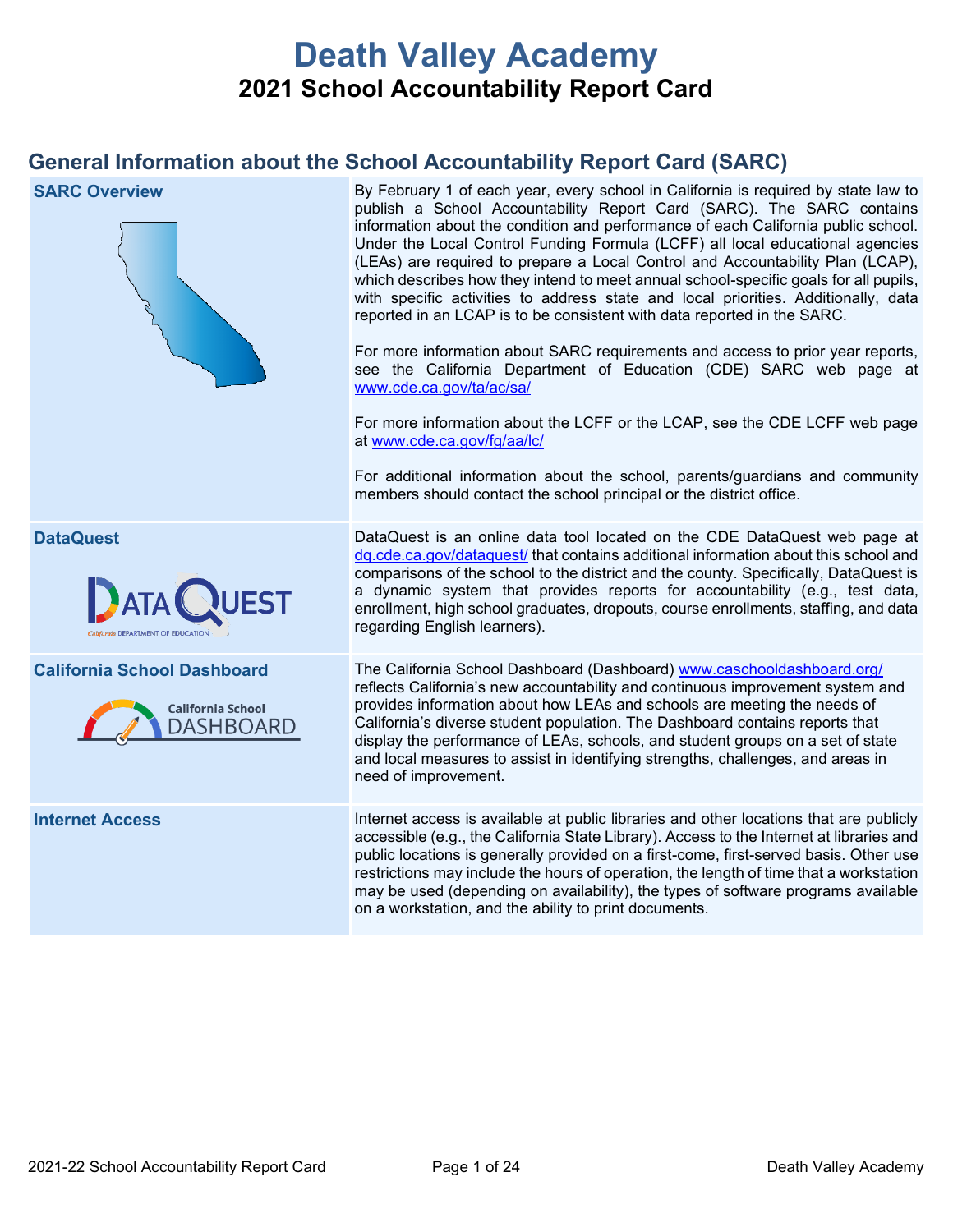# **Death Valley Academy 2021 School Accountability Report Card**

# **General Information about the School Accountability Report Card (SARC)**

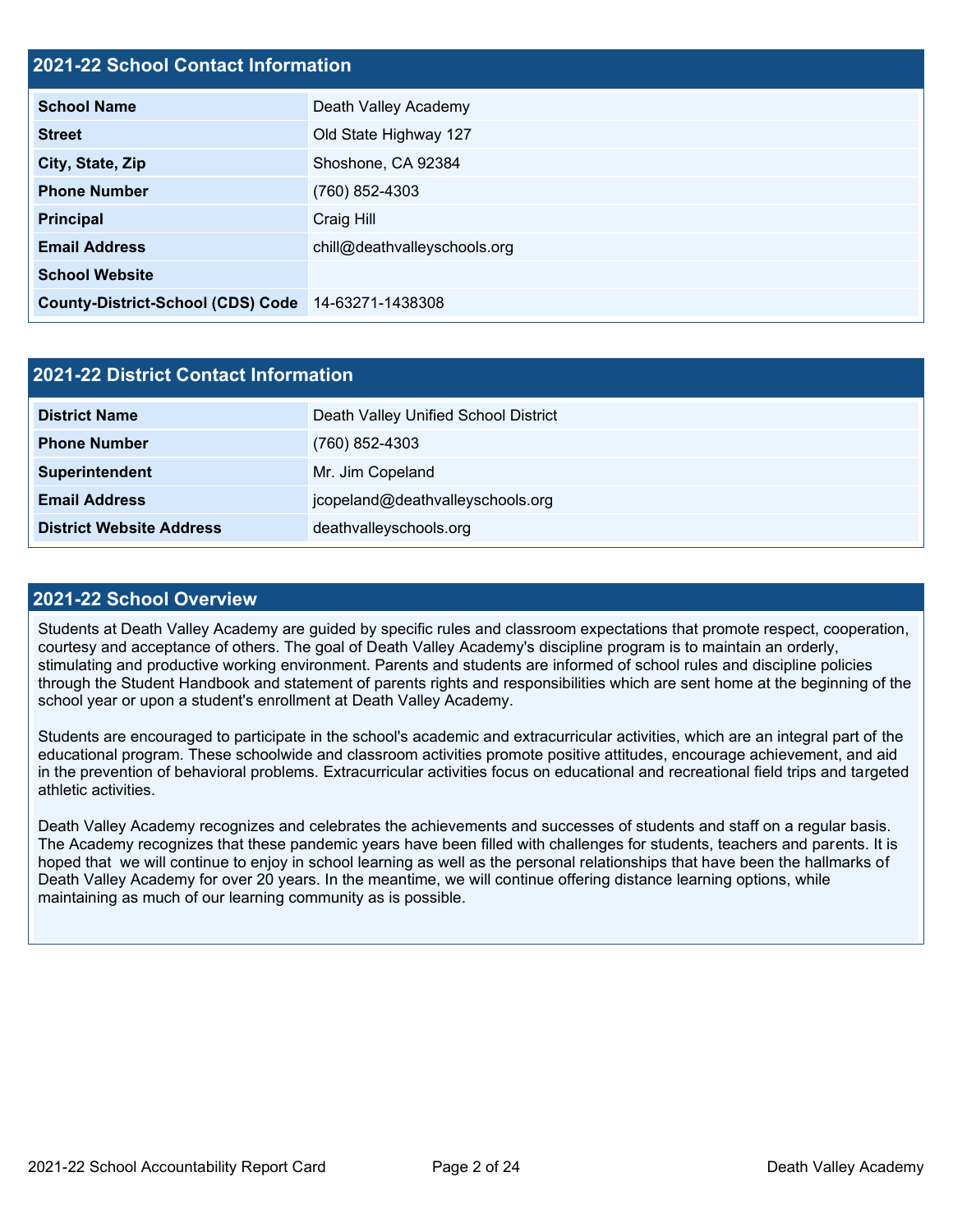## **2021-22 School Contact Information**

| EVET EE GUNGU GUNGUL INIGITIGGUN         |                              |
|------------------------------------------|------------------------------|
| <b>School Name</b>                       | Death Valley Academy         |
| <b>Street</b>                            | Old State Highway 127        |
| City, State, Zip                         | Shoshone, CA 92384           |
| <b>Phone Number</b>                      | (760) 852-4303               |
| <b>Principal</b>                         | Craig Hill                   |
| <b>Email Address</b>                     | chill@deathvalleyschools.org |
| <b>School Website</b>                    |                              |
| <b>County-District-School (CDS) Code</b> | 14-63271-1438308             |

| <b>2021-22 District Contact Information</b> |                                      |  |  |  |  |
|---------------------------------------------|--------------------------------------|--|--|--|--|
| <b>District Name</b>                        | Death Valley Unified School District |  |  |  |  |
| <b>Phone Number</b>                         | $(760)$ 852-4303                     |  |  |  |  |
| Superintendent                              | Mr. Jim Copeland                     |  |  |  |  |
| <b>Email Address</b>                        | jcopeland@deathvalleyschools.org     |  |  |  |  |
| <b>District Website Address</b>             | deathvalleyschools.org               |  |  |  |  |

#### **2021-22 School Overview**

Students at Death Valley Academy are guided by specific rules and classroom expectations that promote respect, cooperation, courtesy and acceptance of others. The goal of Death Valley Academy's discipline program is to maintain an orderly, stimulating and productive working environment. Parents and students are informed of school rules and discipline policies through the Student Handbook and statement of parents rights and responsibilities which are sent home at the beginning of the school year or upon a student's enrollment at Death Valley Academy.

Students are encouraged to participate in the school's academic and extracurricular activities, which are an integral part of the educational program. These schoolwide and classroom activities promote positive attitudes, encourage achievement, and aid in the prevention of behavioral problems. Extracurricular activities focus on educational and recreational field trips and targeted athletic activities.

Death Valley Academy recognizes and celebrates the achievements and successes of students and staff on a regular basis. The Academy recognizes that these pandemic years have been filled with challenges for students, teachers and parents. It is hoped that we will continue to enjoy in school learning as well as the personal relationships that have been the hallmarks of Death Valley Academy for over 20 years. In the meantime, we will continue offering distance learning options, while maintaining as much of our learning community as is possible.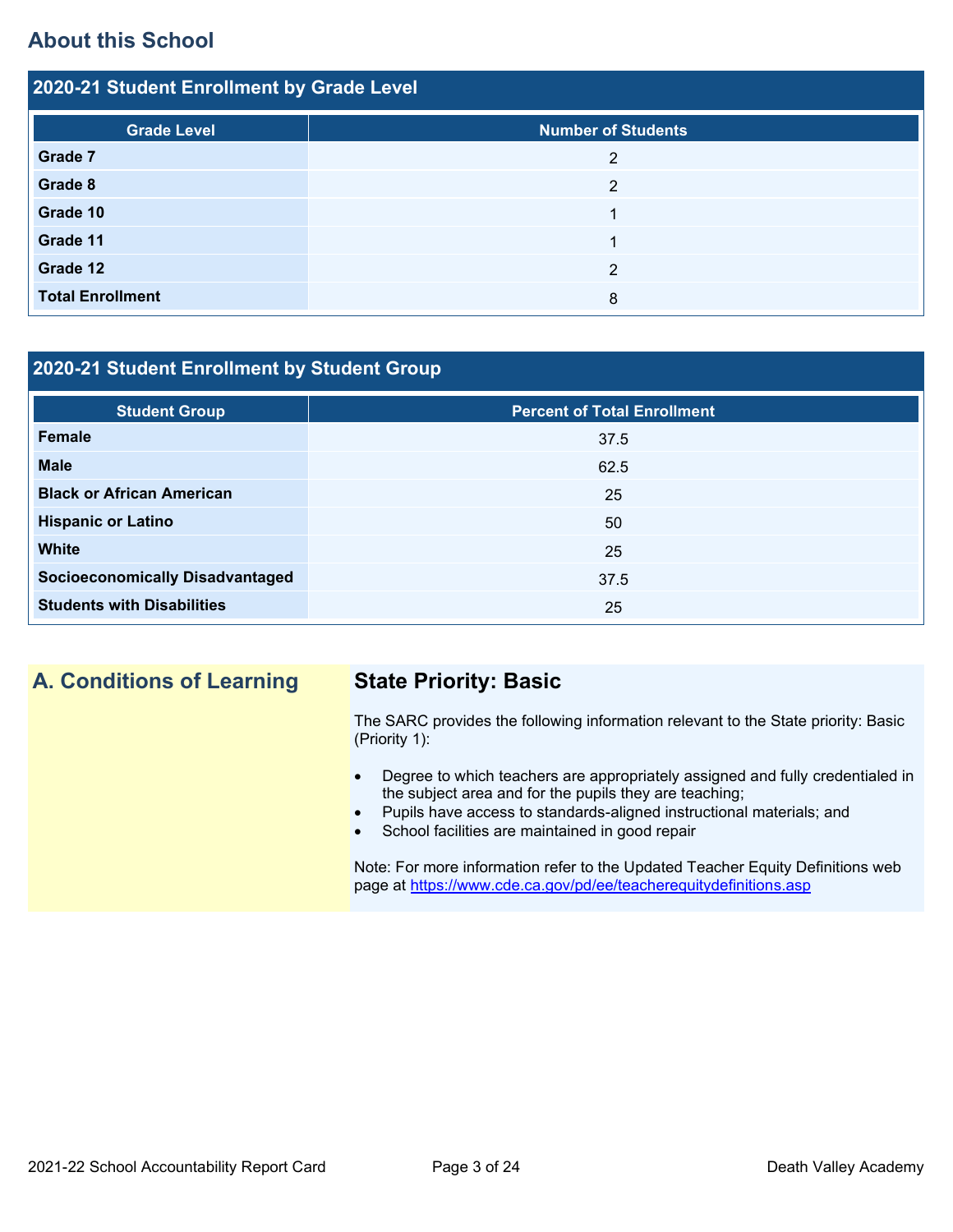# **About this School**

| 2020-21 Student Enrollment by Grade Level |                           |  |  |  |  |  |
|-------------------------------------------|---------------------------|--|--|--|--|--|
| <b>Grade Level</b>                        | <b>Number of Students</b> |  |  |  |  |  |
| Grade 7                                   | 2                         |  |  |  |  |  |
| Grade 8                                   | $\overline{2}$            |  |  |  |  |  |
| Grade 10                                  | ◢                         |  |  |  |  |  |
| Grade 11                                  | 4                         |  |  |  |  |  |
| Grade 12                                  | 2                         |  |  |  |  |  |
| <b>Total Enrollment</b>                   | 8                         |  |  |  |  |  |

### **2020-21 Student Enrollment by Student Group**

| <b>Student Group</b>                   | <b>Percent of Total Enrollment</b> |
|----------------------------------------|------------------------------------|
| Female                                 | 37.5                               |
| <b>Male</b>                            | 62.5                               |
| <b>Black or African American</b>       | 25                                 |
| <b>Hispanic or Latino</b>              | 50                                 |
| <b>White</b>                           | 25                                 |
| <b>Socioeconomically Disadvantaged</b> | 37.5                               |
| <b>Students with Disabilities</b>      | 25                                 |

# **A. Conditions of Learning State Priority: Basic**

The SARC provides the following information relevant to the State priority: Basic (Priority 1):

- Degree to which teachers are appropriately assigned and fully credentialed in the subject area and for the pupils they are teaching;
- Pupils have access to standards-aligned instructional materials; and
- School facilities are maintained in good repair

Note: For more information refer to the Updated Teacher Equity Definitions web page at<https://www.cde.ca.gov/pd/ee/teacherequitydefinitions.asp>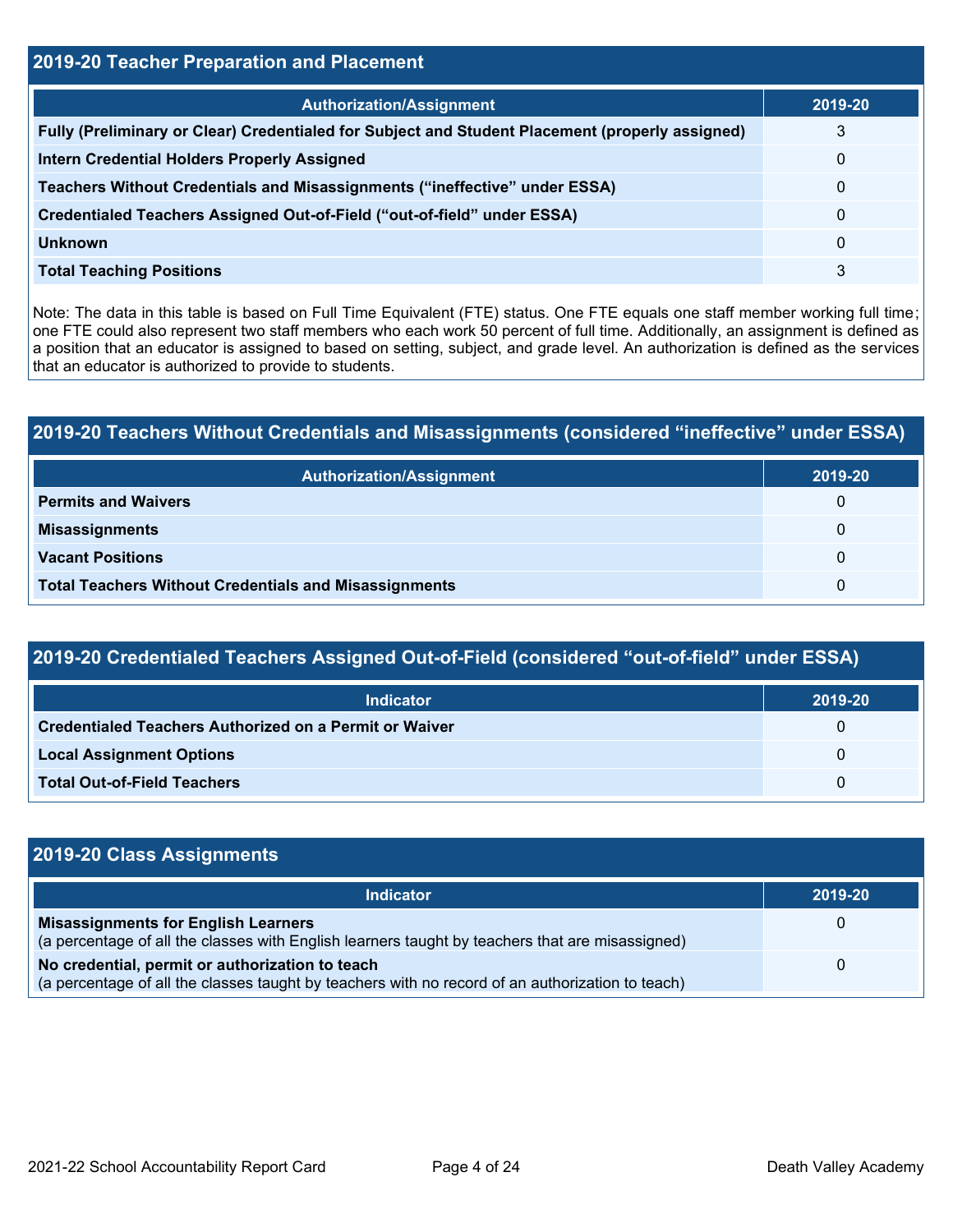# **2019-20 Teacher Preparation and Placement Authorization/Assignment 2019-20 Fully (Preliminary or Clear) Credentialed for Subject and Student Placement (properly assigned)** 3 **Intern Credential Holders Properly Assigned** 0 **Teachers Without Credentials and Misassignments ("ineffective" under ESSA)** 0 **Credentialed Teachers Assigned Out-of-Field ("out-of-field" under ESSA)** 0 **Unknown** 0 **Total Teaching Positions** 3

Note: The data in this table is based on Full Time Equivalent (FTE) status. One FTE equals one staff member working full time; one FTE could also represent two staff members who each work 50 percent of full time. Additionally, an assignment is defined as a position that an educator is assigned to based on setting, subject, and grade level. An authorization is defined as the services that an educator is authorized to provide to students.

# **2019-20 Teachers Without Credentials and Misassignments (considered "ineffective" under ESSA)**

| <b>Authorization/Assignment</b>                              | 2019-20 |
|--------------------------------------------------------------|---------|
| <b>Permits and Waivers</b>                                   | 0       |
| <b>Misassignments</b>                                        | 0       |
| <b>Vacant Positions</b>                                      | 0       |
| <b>Total Teachers Without Credentials and Misassignments</b> | 0       |

## **2019-20 Credentialed Teachers Assigned Out-of-Field (considered "out-of-field" under ESSA)**

| <b>Indicator</b>                                              | 2019-20  |
|---------------------------------------------------------------|----------|
| <b>Credentialed Teachers Authorized on a Permit or Waiver</b> | $\Omega$ |
| <b>Local Assignment Options</b>                               | $\Omega$ |
| <b>Total Out-of-Field Teachers</b>                            | $\Omega$ |

| 2019-20 Class Assignments                                                                                                                           |          |  |  |  |  |
|-----------------------------------------------------------------------------------------------------------------------------------------------------|----------|--|--|--|--|
| <b>Indicator</b>                                                                                                                                    | 2019-20  |  |  |  |  |
| <b>Misassignments for English Learners</b><br>(a percentage of all the classes with English learners taught by teachers that are misassigned)       | 0        |  |  |  |  |
| No credential, permit or authorization to teach<br>(a percentage of all the classes taught by teachers with no record of an authorization to teach) | $\Omega$ |  |  |  |  |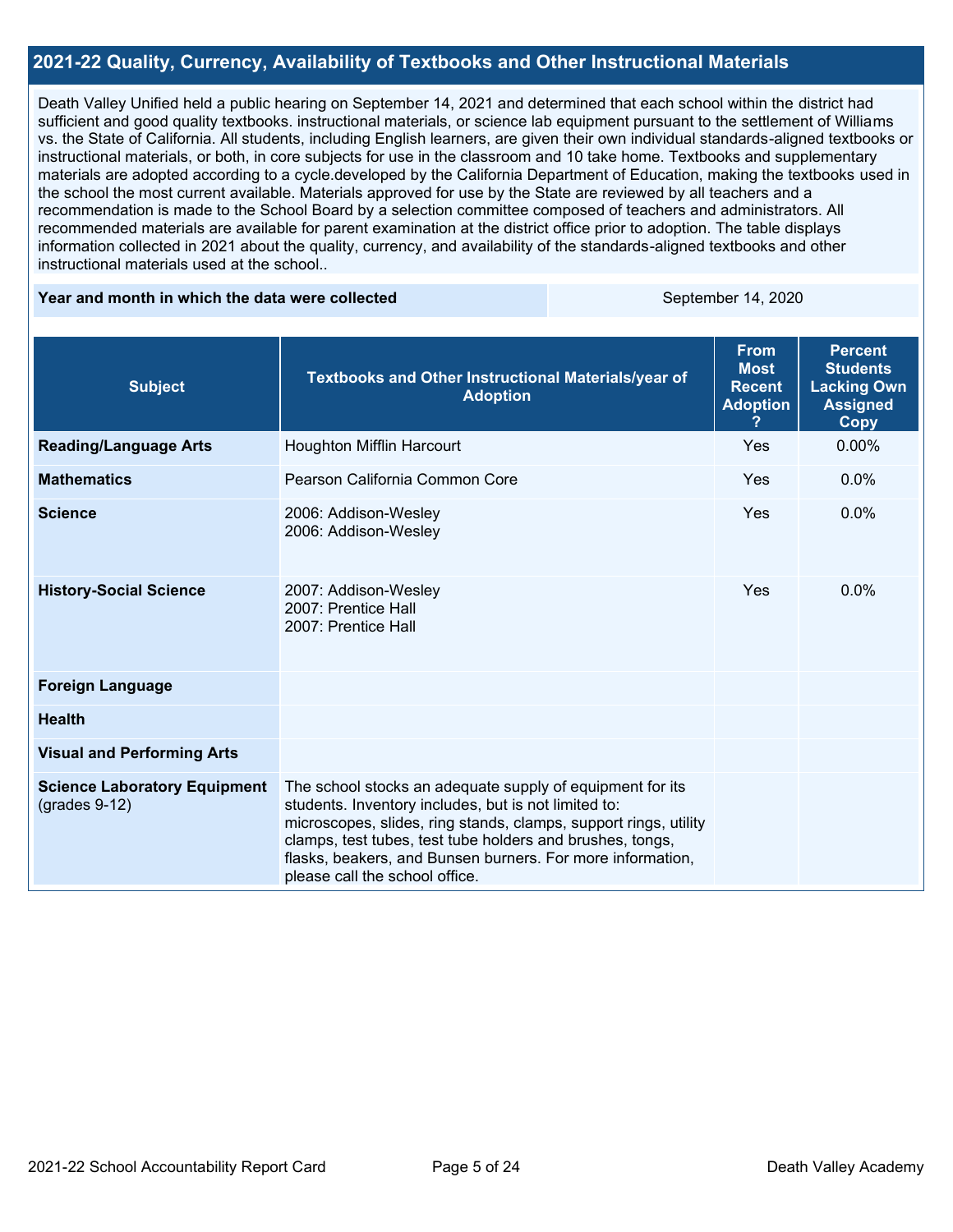#### **2021-22 Quality, Currency, Availability of Textbooks and Other Instructional Materials**

Death Valley Unified held a public hearing on September 14, 2021 and determined that each school within the district had sufficient and good quality textbooks. instructional materials, or science lab equipment pursuant to the settlement of Williams vs. the State of California. All students, including English learners, are given their own individual standards-aligned textbooks or instructional materials, or both, in core subjects for use in the classroom and 10 take home. Textbooks and supplementary materials are adopted according to a cycle.developed by the California Department of Education, making the textbooks used in the school the most current available. Materials approved for use by the State are reviewed by all teachers and a recommendation is made to the School Board by a selection committee composed of teachers and administrators. All recommended materials are available for parent examination at the district office prior to adoption. The table displays information collected in 2021 about the quality, currency, and availability of the standards-aligned textbooks and other instructional materials used at the school..

#### **Year and month in which the data were collected September 14, 2020**

| <b>Subject</b>                                         | Textbooks and Other Instructional Materials/year of<br><b>Adoption</b>                                                                                                                                                                                                                                                                             | <b>From</b><br><b>Most</b><br><b>Recent</b><br><b>Adoption</b> | <b>Percent</b><br><b>Students</b><br><b>Lacking Own</b><br><b>Assigned</b><br><b>Copy</b> |
|--------------------------------------------------------|----------------------------------------------------------------------------------------------------------------------------------------------------------------------------------------------------------------------------------------------------------------------------------------------------------------------------------------------------|----------------------------------------------------------------|-------------------------------------------------------------------------------------------|
| <b>Reading/Language Arts</b>                           | <b>Houghton Mifflin Harcourt</b>                                                                                                                                                                                                                                                                                                                   | Yes                                                            | $0.00\%$                                                                                  |
| <b>Mathematics</b>                                     | Pearson California Common Core                                                                                                                                                                                                                                                                                                                     | Yes                                                            | $0.0\%$                                                                                   |
| <b>Science</b>                                         | 2006: Addison-Wesley<br>2006: Addison-Wesley                                                                                                                                                                                                                                                                                                       | Yes                                                            | $0.0\%$                                                                                   |
| <b>History-Social Science</b>                          | 2007: Addison-Wesley<br>2007: Prentice Hall<br>2007: Prentice Hall                                                                                                                                                                                                                                                                                 | Yes                                                            | $0.0\%$                                                                                   |
| <b>Foreign Language</b>                                |                                                                                                                                                                                                                                                                                                                                                    |                                                                |                                                                                           |
| <b>Health</b>                                          |                                                                                                                                                                                                                                                                                                                                                    |                                                                |                                                                                           |
| <b>Visual and Performing Arts</b>                      |                                                                                                                                                                                                                                                                                                                                                    |                                                                |                                                                                           |
| <b>Science Laboratory Equipment</b><br>$(grades 9-12)$ | The school stocks an adequate supply of equipment for its<br>students. Inventory includes, but is not limited to:<br>microscopes, slides, ring stands, clamps, support rings, utility<br>clamps, test tubes, test tube holders and brushes, tongs,<br>flasks, beakers, and Bunsen burners. For more information,<br>please call the school office. |                                                                |                                                                                           |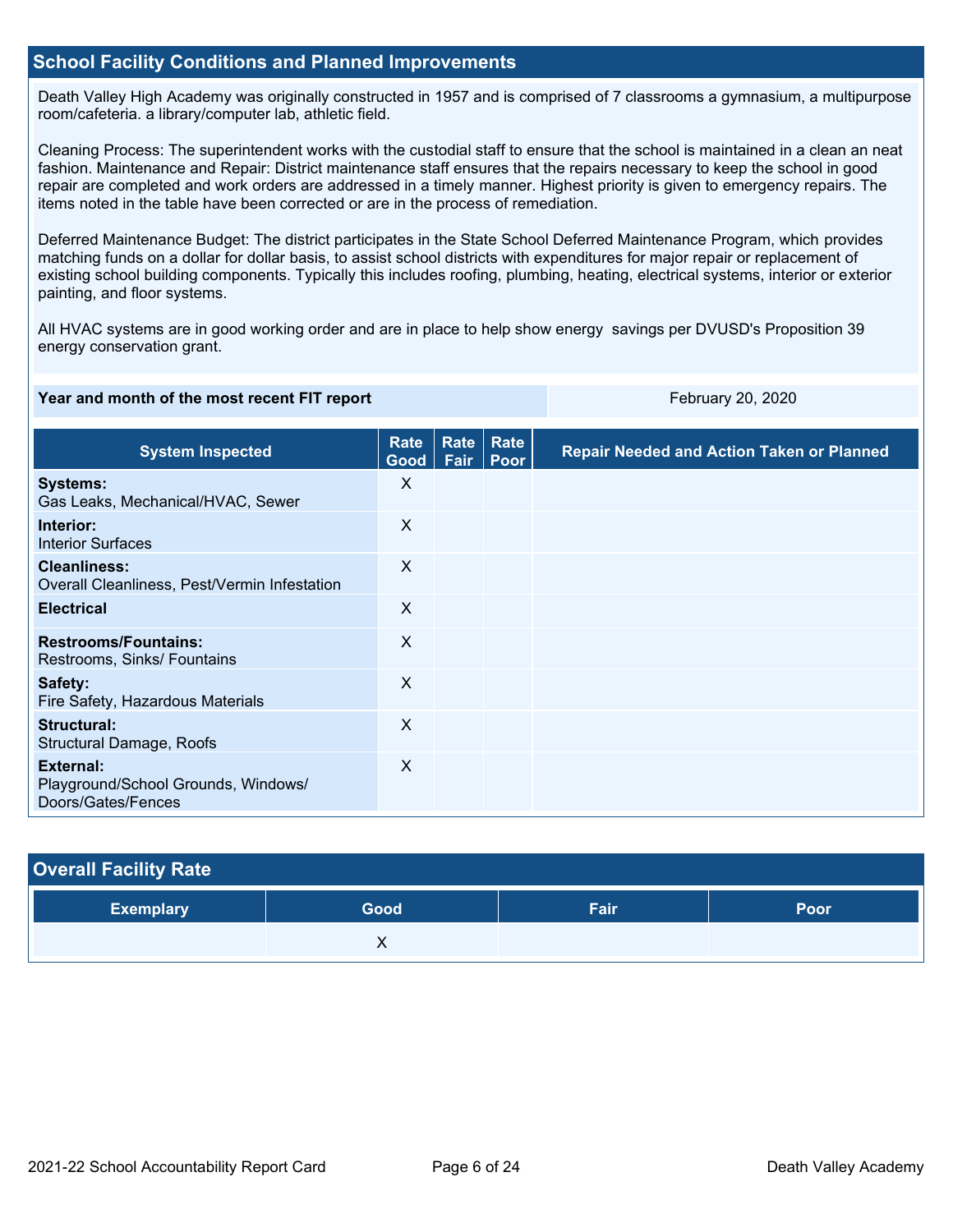#### **School Facility Conditions and Planned Improvements**

Death Valley High Academy was originally constructed in 1957 and is comprised of 7 classrooms a gymnasium, a multipurpose room/cafeteria. a library/computer lab, athletic field.

Cleaning Process: The superintendent works with the custodial staff to ensure that the school is maintained in a clean an neat fashion. Maintenance and Repair: District maintenance staff ensures that the repairs necessary to keep the school in good repair are completed and work orders are addressed in a timely manner. Highest priority is given to emergency repairs. The items noted in the table have been corrected or are in the process of remediation.

Deferred Maintenance Budget: The district participates in the State School Deferred Maintenance Program, which provides matching funds on a dollar for dollar basis, to assist school districts with expenditures for major repair or replacement of existing school building components. Typically this includes roofing, plumbing, heating, electrical systems, interior or exterior painting, and floor systems.

All HVAC systems are in good working order and are in place to help show energy savings per DVUSD's Proposition 39 energy conservation grant.

#### **Year and month of the most recent FIT report** February 20, 2020 February 20, 2020

| <b>System Inspected</b>                                                | Rate<br>Good              | Rate<br>Fair | Rate<br>Poor | <b>Repair Needed and Action Taken or Planned</b> |
|------------------------------------------------------------------------|---------------------------|--------------|--------------|--------------------------------------------------|
| <b>Systems:</b><br>Gas Leaks, Mechanical/HVAC, Sewer                   | X                         |              |              |                                                  |
| Interior:<br><b>Interior Surfaces</b>                                  | $\sf X$                   |              |              |                                                  |
| <b>Cleanliness:</b><br>Overall Cleanliness, Pest/Vermin Infestation    | X                         |              |              |                                                  |
| <b>Electrical</b>                                                      | X                         |              |              |                                                  |
| <b>Restrooms/Fountains:</b><br>Restrooms, Sinks/ Fountains             | X                         |              |              |                                                  |
| Safety:<br>Fire Safety, Hazardous Materials                            | X                         |              |              |                                                  |
| Structural:<br><b>Structural Damage, Roofs</b>                         | X                         |              |              |                                                  |
| External:<br>Playground/School Grounds, Windows/<br>Doors/Gates/Fences | $\boldsymbol{\mathsf{X}}$ |              |              |                                                  |

| <b>Overall Facility Rate</b> |      |      |      |
|------------------------------|------|------|------|
| <b>Exemplary</b>             | Good | Fair | Poor |
|                              |      |      |      |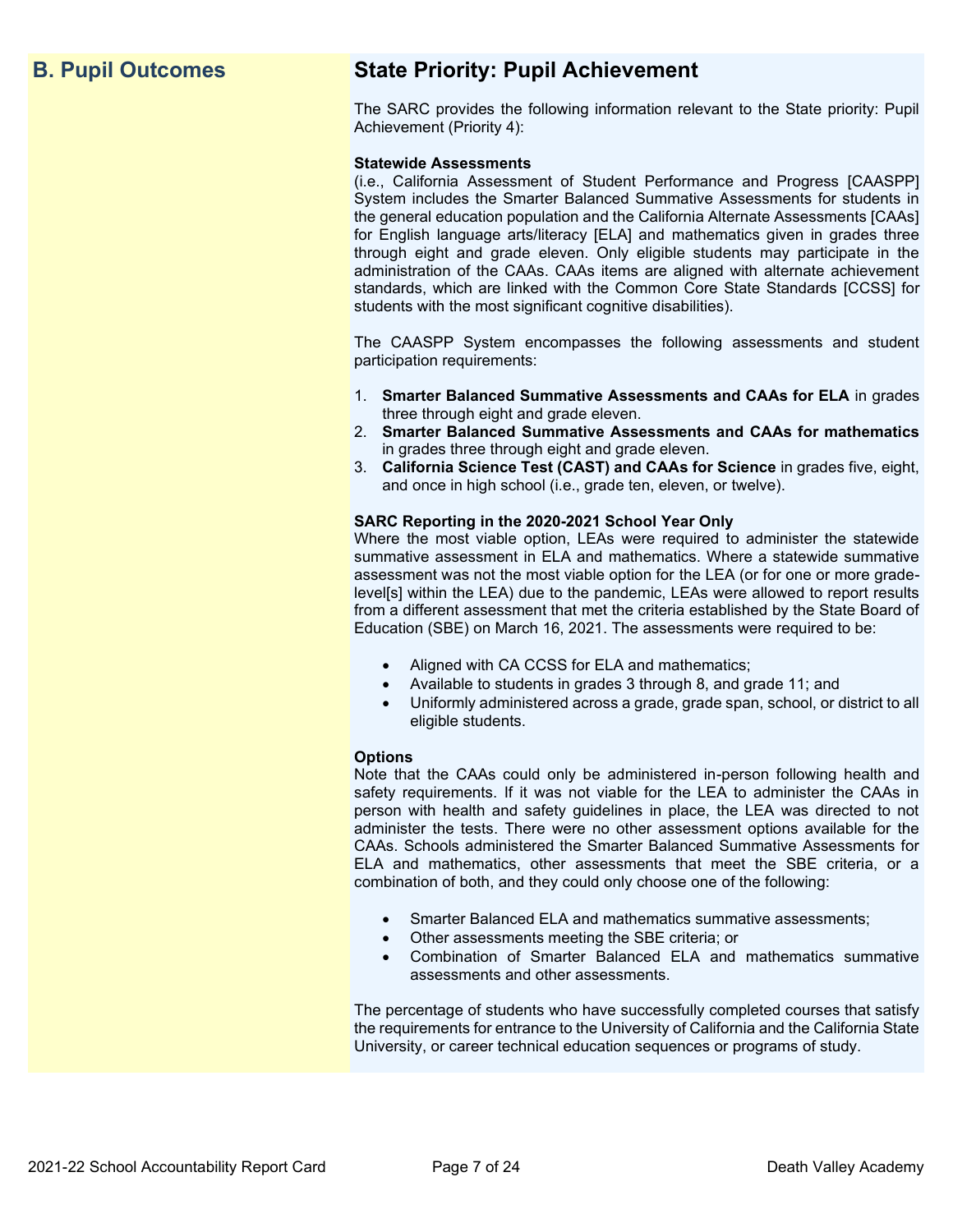# **B. Pupil Outcomes State Priority: Pupil Achievement**

The SARC provides the following information relevant to the State priority: Pupil Achievement (Priority 4):

#### **Statewide Assessments**

(i.e., California Assessment of Student Performance and Progress [CAASPP] System includes the Smarter Balanced Summative Assessments for students in the general education population and the California Alternate Assessments [CAAs] for English language arts/literacy [ELA] and mathematics given in grades three through eight and grade eleven. Only eligible students may participate in the administration of the CAAs. CAAs items are aligned with alternate achievement standards, which are linked with the Common Core State Standards [CCSS] for students with the most significant cognitive disabilities).

The CAASPP System encompasses the following assessments and student participation requirements:

- 1. **Smarter Balanced Summative Assessments and CAAs for ELA** in grades three through eight and grade eleven.
- 2. **Smarter Balanced Summative Assessments and CAAs for mathematics** in grades three through eight and grade eleven.
- 3. **California Science Test (CAST) and CAAs for Science** in grades five, eight, and once in high school (i.e., grade ten, eleven, or twelve).

#### **SARC Reporting in the 2020-2021 School Year Only**

Where the most viable option, LEAs were required to administer the statewide summative assessment in ELA and mathematics. Where a statewide summative assessment was not the most viable option for the LEA (or for one or more gradelevel[s] within the LEA) due to the pandemic, LEAs were allowed to report results from a different assessment that met the criteria established by the State Board of Education (SBE) on March 16, 2021. The assessments were required to be:

- Aligned with CA CCSS for ELA and mathematics;
- Available to students in grades 3 through 8, and grade 11; and
- Uniformly administered across a grade, grade span, school, or district to all eligible students.

#### **Options**

Note that the CAAs could only be administered in-person following health and safety requirements. If it was not viable for the LEA to administer the CAAs in person with health and safety guidelines in place, the LEA was directed to not administer the tests. There were no other assessment options available for the CAAs. Schools administered the Smarter Balanced Summative Assessments for ELA and mathematics, other assessments that meet the SBE criteria, or a combination of both, and they could only choose one of the following:

- Smarter Balanced ELA and mathematics summative assessments;
- Other assessments meeting the SBE criteria; or
- Combination of Smarter Balanced ELA and mathematics summative assessments and other assessments.

The percentage of students who have successfully completed courses that satisfy the requirements for entrance to the University of California and the California State University, or career technical education sequences or programs of study.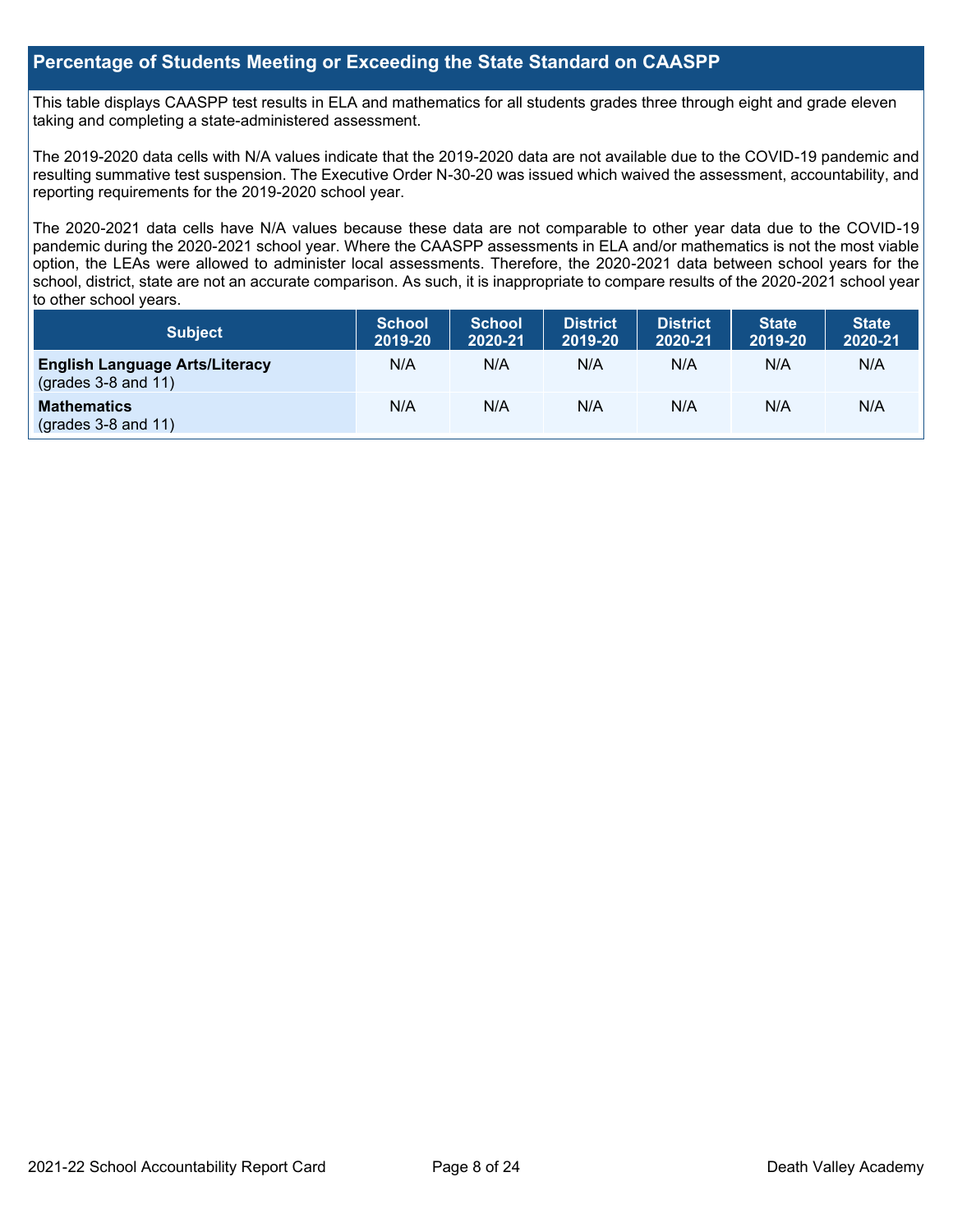#### **Percentage of Students Meeting or Exceeding the State Standard on CAASPP**

This table displays CAASPP test results in ELA and mathematics for all students grades three through eight and grade eleven taking and completing a state-administered assessment.

The 2019-2020 data cells with N/A values indicate that the 2019-2020 data are not available due to the COVID-19 pandemic and resulting summative test suspension. The Executive Order N-30-20 was issued which waived the assessment, accountability, and reporting requirements for the 2019-2020 school year.

The 2020-2021 data cells have N/A values because these data are not comparable to other year data due to the COVID-19 pandemic during the 2020-2021 school year. Where the CAASPP assessments in ELA and/or mathematics is not the most viable option, the LEAs were allowed to administer local assessments. Therefore, the 2020-2021 data between school years for the school, district, state are not an accurate comparison. As such, it is inappropriate to compare results of the 2020-2021 school year to other school years.

| Subject                                                              | <b>School</b><br>2019-20 | <b>School</b><br>2020-21 | <b>District</b><br>2019-20 | <b>District</b><br>2020-21 | <b>State</b><br>2019-20 | <b>State</b><br>2020-21 |
|----------------------------------------------------------------------|--------------------------|--------------------------|----------------------------|----------------------------|-------------------------|-------------------------|
| <b>English Language Arts/Literacy</b><br>$\left($ grades 3-8 and 11) | N/A                      | N/A                      | N/A                        | N/A                        | N/A                     | N/A                     |
| <b>Mathematics</b><br>$(grades 3-8 and 11)$                          | N/A                      | N/A                      | N/A                        | N/A                        | N/A                     | N/A                     |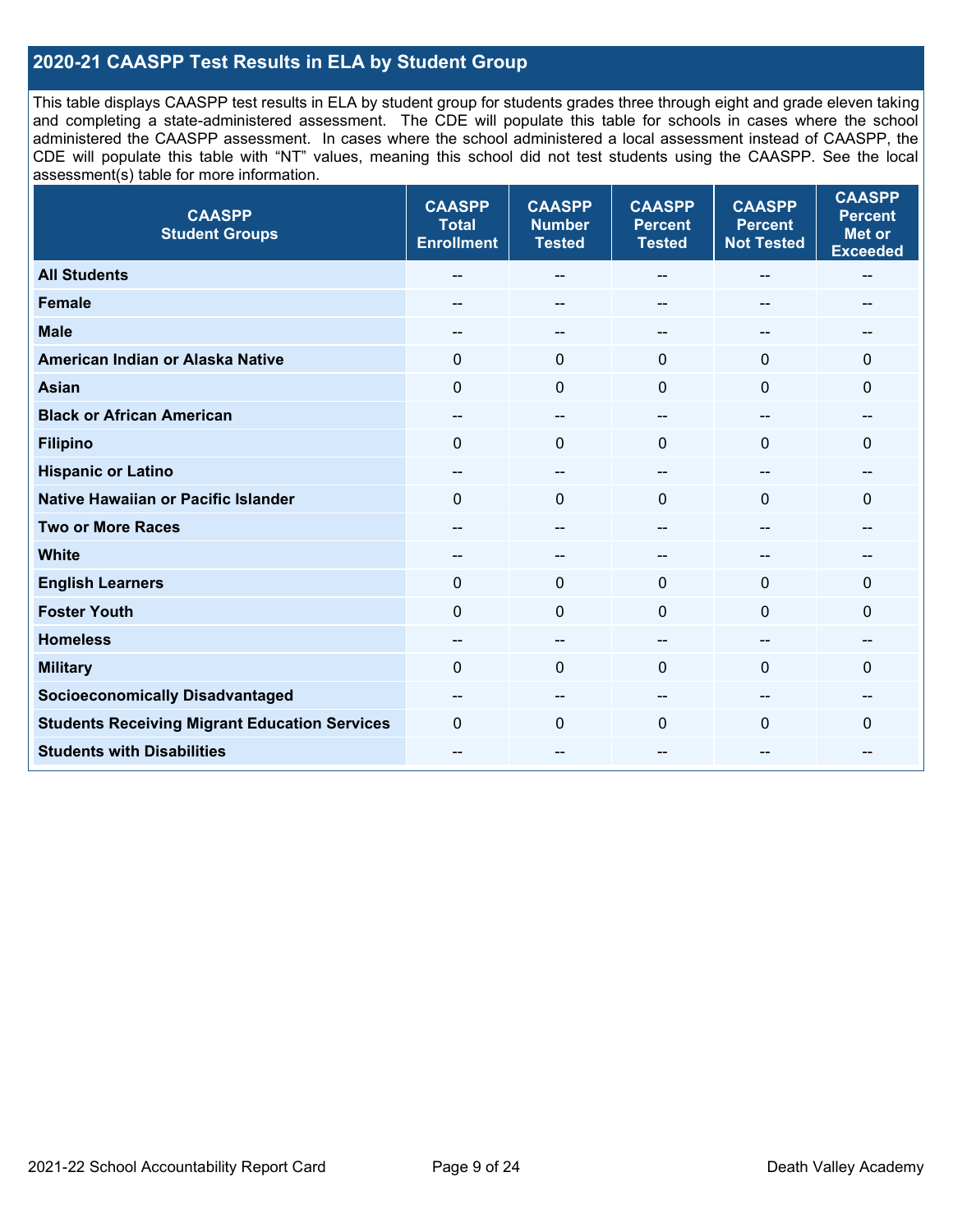### **2020-21 CAASPP Test Results in ELA by Student Group**

This table displays CAASPP test results in ELA by student group for students grades three through eight and grade eleven taking and completing a state-administered assessment. The CDE will populate this table for schools in cases where the school administered the CAASPP assessment. In cases where the school administered a local assessment instead of CAASPP, the CDE will populate this table with "NT" values, meaning this school did not test students using the CAASPP. See the local assessment(s) table for more information.

| <b>CAASPP</b><br><b>Student Groups</b>               | <b>CAASPP</b><br><b>Total</b><br><b>Enrollment</b> | <b>CAASPP</b><br><b>Number</b><br><b>Tested</b> | <b>CAASPP</b><br><b>Percent</b><br><b>Tested</b> | <b>CAASPP</b><br><b>Percent</b><br><b>Not Tested</b> | <b>CAASPP</b><br><b>Percent</b><br><b>Met or</b><br><b>Exceeded</b> |
|------------------------------------------------------|----------------------------------------------------|-------------------------------------------------|--------------------------------------------------|------------------------------------------------------|---------------------------------------------------------------------|
| <b>All Students</b>                                  | --                                                 | $\sim$                                          | --                                               | --                                                   | $-$                                                                 |
| <b>Female</b>                                        |                                                    | --                                              |                                                  | --                                                   | --                                                                  |
| <b>Male</b>                                          | $\qquad \qquad -$                                  | $\sim$                                          | --                                               | --                                                   | --                                                                  |
| American Indian or Alaska Native                     | 0                                                  | $\mathbf 0$                                     | $\mathbf 0$                                      | $\mathbf 0$                                          | 0                                                                   |
| <b>Asian</b>                                         | $\mathbf 0$                                        | $\mathbf 0$                                     | $\mathbf{0}$                                     | $\Omega$                                             | $\mathbf{0}$                                                        |
| <b>Black or African American</b>                     | --                                                 | $\overline{\phantom{m}}$                        | --                                               | $\sim$                                               | --                                                                  |
| <b>Filipino</b>                                      | $\Omega$                                           | $\mathbf 0$                                     | $\Omega$                                         | $\mathbf 0$                                          | $\mathbf{0}$                                                        |
| <b>Hispanic or Latino</b>                            | $\qquad \qquad -$                                  | $\mathbf{u}$                                    | $- -$                                            | $\sim$                                               | --                                                                  |
| <b>Native Hawaiian or Pacific Islander</b>           | $\mathbf 0$                                        | $\mathbf 0$                                     | $\mathbf{0}$                                     | $\overline{0}$                                       | $\mathbf{0}$                                                        |
| <b>Two or More Races</b>                             | $\overline{\phantom{a}}$                           | $\overline{\phantom{a}}$                        | --                                               | $\overline{\phantom{a}}$                             | --                                                                  |
| <b>White</b>                                         | $- -$                                              | --                                              | --                                               | --                                                   |                                                                     |
| <b>English Learners</b>                              | $\Omega$                                           | $\mathbf 0$                                     | $\Omega$                                         | $\Omega$                                             | $\Omega$                                                            |
| <b>Foster Youth</b>                                  | $\Omega$                                           | $\mathbf 0$                                     | $\mathbf{0}$                                     | $\mathbf 0$                                          | 0                                                                   |
| <b>Homeless</b>                                      | $- -$                                              | $\overline{\phantom{m}}$                        |                                                  | --                                                   | --                                                                  |
| <b>Military</b>                                      | $\Omega$                                           | $\mathbf 0$                                     | $\Omega$                                         | $\Omega$                                             | 0                                                                   |
| <b>Socioeconomically Disadvantaged</b>               | $- -$                                              | --                                              |                                                  | --                                                   |                                                                     |
| <b>Students Receiving Migrant Education Services</b> | $\Omega$                                           | $\mathbf 0$                                     | $\Omega$                                         | $\Omega$                                             | 0                                                                   |
| <b>Students with Disabilities</b>                    | --                                                 | $\sim$                                          | --                                               | --                                                   | --                                                                  |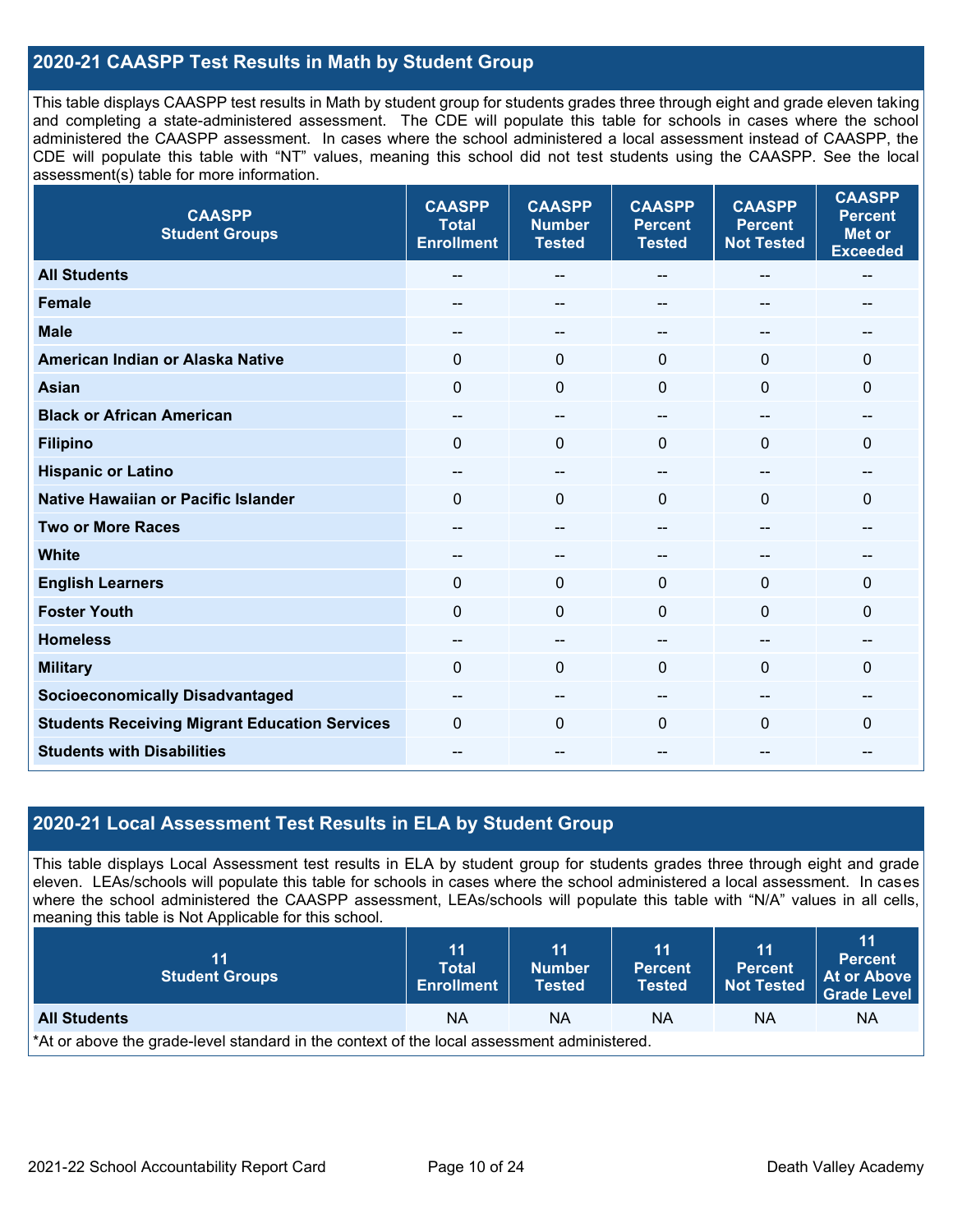#### **2020-21 CAASPP Test Results in Math by Student Group**

This table displays CAASPP test results in Math by student group for students grades three through eight and grade eleven taking and completing a state-administered assessment. The CDE will populate this table for schools in cases where the school administered the CAASPP assessment. In cases where the school administered a local assessment instead of CAASPP, the CDE will populate this table with "NT" values, meaning this school did not test students using the CAASPP. See the local assessment(s) table for more information.

| <b>CAASPP</b><br><b>Student Groups</b>               | <b>CAASPP</b><br><b>Total</b><br><b>Enrollment</b> | <b>CAASPP</b><br><b>Number</b><br><b>Tested</b> | <b>CAASPP</b><br><b>Percent</b><br><b>Tested</b> | <b>CAASPP</b><br><b>Percent</b><br><b>Not Tested</b> | <b>CAASPP</b><br><b>Percent</b><br><b>Met or</b><br><b>Exceeded</b> |
|------------------------------------------------------|----------------------------------------------------|-------------------------------------------------|--------------------------------------------------|------------------------------------------------------|---------------------------------------------------------------------|
| <b>All Students</b>                                  | --                                                 | $\overline{\phantom{m}}$                        | --                                               | $\sim$                                               | $\overline{\phantom{a}}$                                            |
| <b>Female</b>                                        |                                                    | --                                              | --                                               | --                                                   |                                                                     |
| <b>Male</b>                                          | $\overline{a}$                                     | --                                              | --                                               | --                                                   | --                                                                  |
| American Indian or Alaska Native                     | $\Omega$                                           | $\mathbf 0$                                     | $\mathbf 0$                                      | $\mathbf{0}$                                         | 0                                                                   |
| <b>Asian</b>                                         | $\mathbf 0$                                        | $\mathbf 0$                                     | $\mathbf 0$                                      | $\Omega$                                             | $\mathbf{0}$                                                        |
| <b>Black or African American</b>                     | --                                                 | $\overline{\phantom{m}}$                        | --                                               | $\overline{\phantom{a}}$                             | --                                                                  |
| <b>Filipino</b>                                      | $\mathbf 0$                                        | $\mathbf 0$                                     | $\mathbf{0}$                                     | 0                                                    | $\mathbf 0$                                                         |
| <b>Hispanic or Latino</b>                            | $- -$                                              | $\overline{\phantom{a}}$                        | --                                               | --                                                   | --                                                                  |
| <b>Native Hawaiian or Pacific Islander</b>           | $\Omega$                                           | $\mathbf 0$                                     | $\mathbf{0}$                                     | $\mathbf{0}$                                         | 0                                                                   |
| <b>Two or More Races</b>                             | --                                                 | --                                              | --                                               | --                                                   | --                                                                  |
| <b>White</b>                                         | --                                                 | $\overline{\phantom{m}}$                        | --                                               | --                                                   | --                                                                  |
| <b>English Learners</b>                              | $\mathbf 0$                                        | $\mathbf{0}$                                    | $\mathbf{0}$                                     | 0                                                    | $\Omega$                                                            |
| <b>Foster Youth</b>                                  | $\Omega$                                           | $\mathbf 0$                                     | $\mathbf{0}$                                     | $\mathbf{0}$                                         | $\mathbf 0$                                                         |
| <b>Homeless</b>                                      | $- -$                                              | --                                              | --                                               | --                                                   |                                                                     |
| <b>Military</b>                                      | $\Omega$                                           | $\mathbf 0$                                     | $\Omega$                                         | $\Omega$                                             | 0                                                                   |
| <b>Socioeconomically Disadvantaged</b>               | $\qquad \qquad -$                                  | $\overline{\phantom{m}}$                        | --                                               | $\sim$                                               | --                                                                  |
| <b>Students Receiving Migrant Education Services</b> | $\Omega$                                           | 0                                               | $\Omega$                                         | $\Omega$                                             | 0                                                                   |
| <b>Students with Disabilities</b>                    | $\overline{a}$                                     | --                                              | --                                               |                                                      | --                                                                  |

#### **2020-21 Local Assessment Test Results in ELA by Student Group**

This table displays Local Assessment test results in ELA by student group for students grades three through eight and grade eleven. LEAs/schools will populate this table for schools in cases where the school administered a local assessment. In cases where the school administered the CAASPP assessment, LEAs/schools will populate this table with "N/A" values in all cells, meaning this table is Not Applicable for this school.

| 11<br><b>Student Groups</b>                                                                | 11<br><b>Total</b><br><b>Enrollment</b> | 11<br><b>Number</b><br><b>Tested</b> | 11<br><b>Percent</b><br><b>Tested</b> | 11<br><b>Percent</b><br><b>Not Tested</b> | 11<br><b>Percent</b><br>At or Above<br>Grade Level |  |  |
|--------------------------------------------------------------------------------------------|-----------------------------------------|--------------------------------------|---------------------------------------|-------------------------------------------|----------------------------------------------------|--|--|
| <b>All Students</b>                                                                        | <b>NA</b>                               | ΝA                                   | ΝA                                    | ΝA                                        | ΝA                                                 |  |  |
| *At or above the grade-level standard in the context of the local assessment administered. |                                         |                                      |                                       |                                           |                                                    |  |  |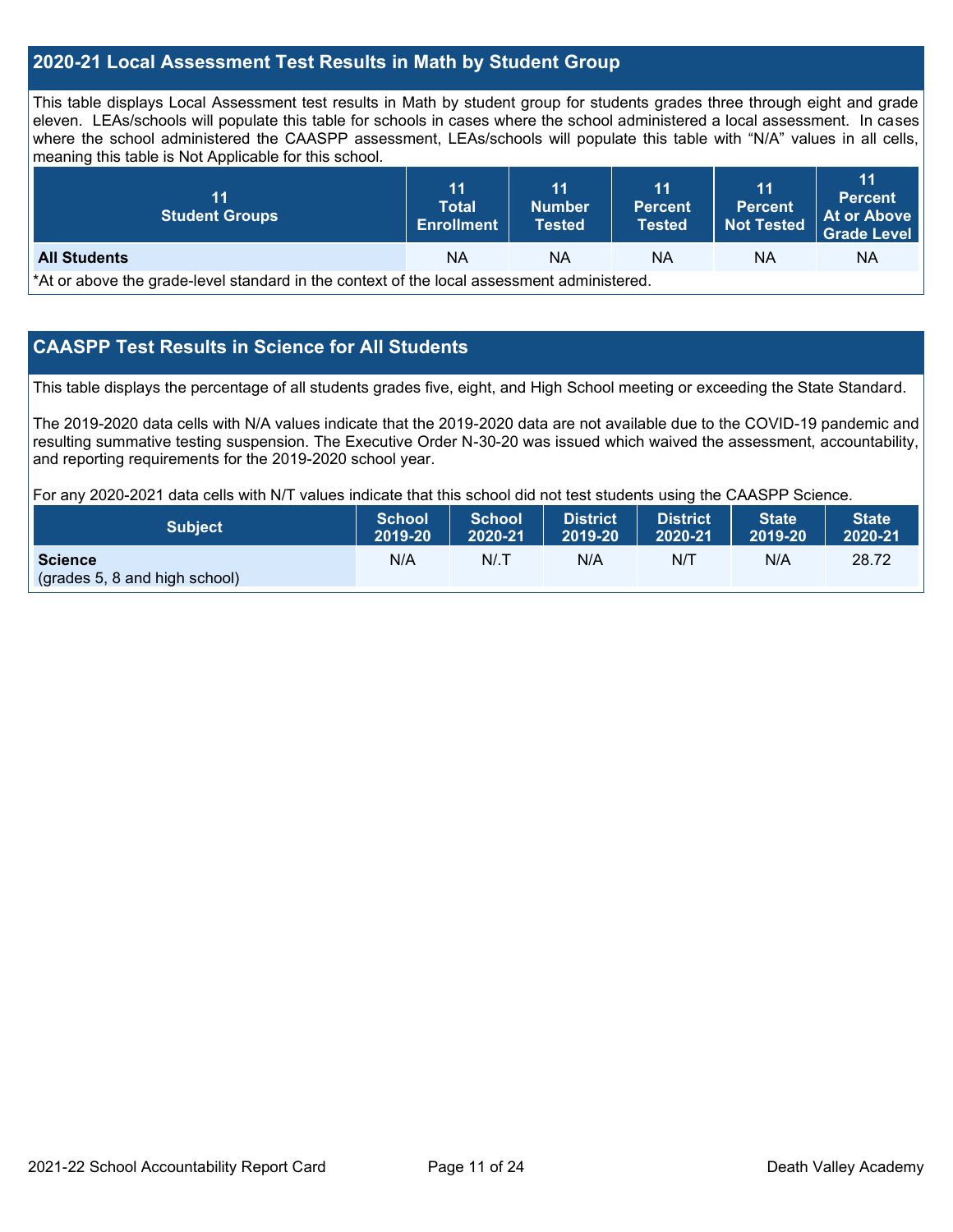#### **2020-21 Local Assessment Test Results in Math by Student Group**

This table displays Local Assessment test results in Math by student group for students grades three through eight and grade eleven. LEAs/schools will populate this table for schools in cases where the school administered a local assessment. In cases where the school administered the CAASPP assessment, LEAs/schools will populate this table with "N/A" values in all cells, meaning this table is Not Applicable for this school.

| 11<br><b>Student Groups</b>                                                                | 11<br><b>Total</b><br><b>Enrollment</b> | 11<br><b>Number</b><br>Tested | 11<br><b>Percent</b><br><b>Tested</b> | 11<br><b>Percent</b><br><b>Not Tested</b> | 11<br><b>Percent</b><br>At or Above<br><b>Grade Level</b> |  |  |
|--------------------------------------------------------------------------------------------|-----------------------------------------|-------------------------------|---------------------------------------|-------------------------------------------|-----------------------------------------------------------|--|--|
| <b>All Students</b>                                                                        | <b>NA</b>                               | ΝA                            | <b>NA</b>                             | ΝA                                        | ΝA                                                        |  |  |
| *At or above the grade-level standard in the context of the local assessment administered. |                                         |                               |                                       |                                           |                                                           |  |  |

#### **CAASPP Test Results in Science for All Students**

This table displays the percentage of all students grades five, eight, and High School meeting or exceeding the State Standard.

The 2019-2020 data cells with N/A values indicate that the 2019-2020 data are not available due to the COVID-19 pandemic and resulting summative testing suspension. The Executive Order N-30-20 was issued which waived the assessment, accountability, and reporting requirements for the 2019-2020 school year.

For any 2020-2021 data cells with N/T values indicate that this school did not test students using the CAASPP Science.

| Subject                                         | School  | School  | <b>District</b> | <b>District</b> | <b>State</b> | <b>State</b> |
|-------------------------------------------------|---------|---------|-----------------|-----------------|--------------|--------------|
|                                                 | 2019-20 | 2020-21 | 2019-20         | 2020-21         | 2019-20      | 2020-21      |
| <b>Science</b><br>(grades 5, 8 and high school) | N/A     | N/T     | N/A             | N/T             | N/A          | 28.72        |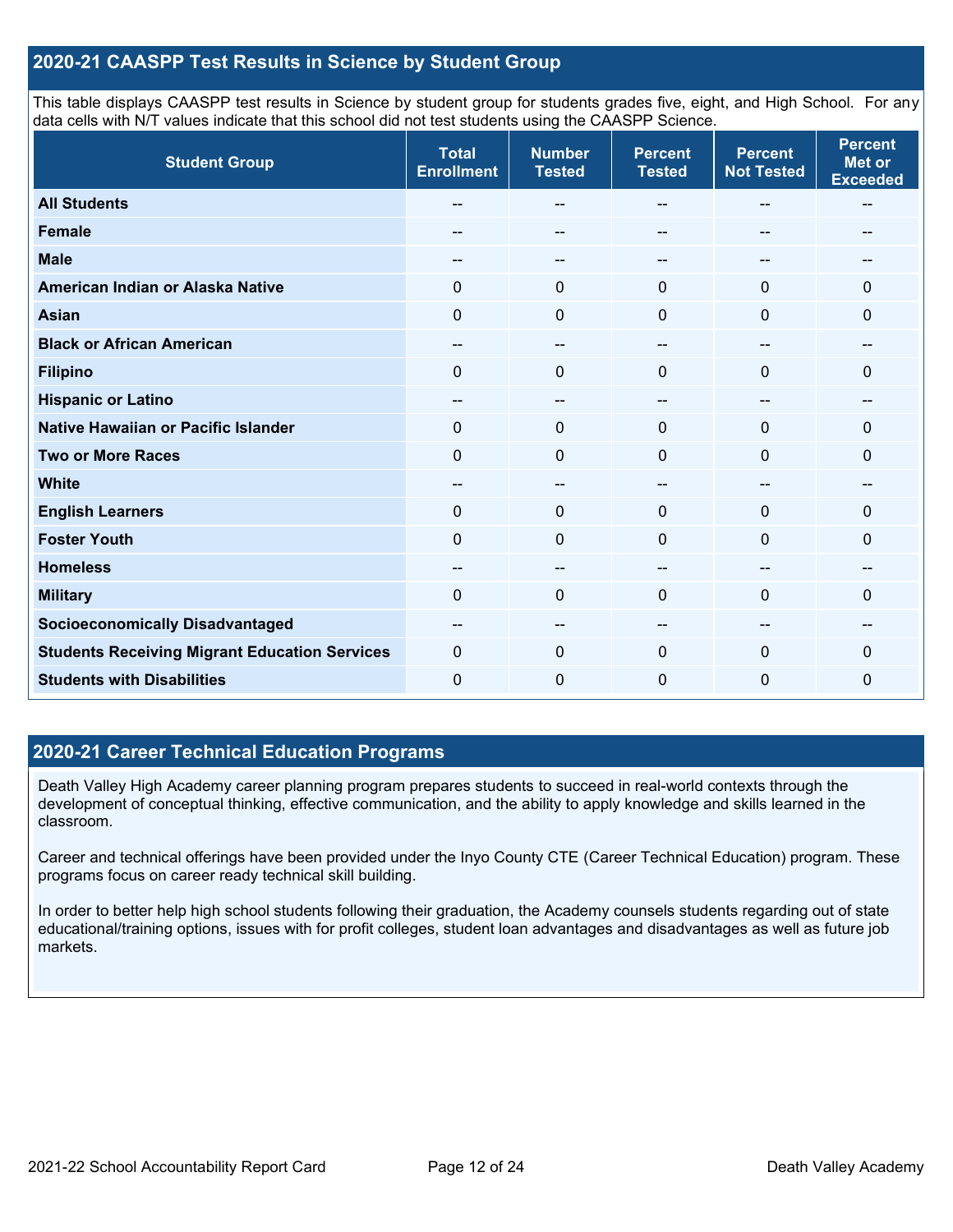#### **2020-21 CAASPP Test Results in Science by Student Group**

This table displays CAASPP test results in Science by student group for students grades five, eight, and High School. For any data cells with N/T values indicate that this school did not test students using the CAASPP Science.

| <b>Student Group</b>                                 | <b>Total</b><br><b>Enrollment</b> | <b>Number</b><br><b>Tested</b> | <b>Percent</b><br><b>Tested</b> | <b>Percent</b><br><b>Not Tested</b> | <b>Percent</b><br><b>Met or</b><br><b>Exceeded</b> |
|------------------------------------------------------|-----------------------------------|--------------------------------|---------------------------------|-------------------------------------|----------------------------------------------------|
| <b>All Students</b>                                  |                                   | --                             |                                 | --                                  | --                                                 |
| <b>Female</b>                                        |                                   | --                             |                                 |                                     |                                                    |
| <b>Male</b>                                          | --                                | --                             | --                              | $\sim$                              | --                                                 |
| American Indian or Alaska Native                     | $\Omega$                          | $\mathbf 0$                    | $\mathbf{0}$                    | $\mathbf{0}$                        | 0                                                  |
| <b>Asian</b>                                         | $\mathbf 0$                       | $\mathbf 0$                    | $\mathbf 0$                     | $\mathbf 0$                         | 0                                                  |
| <b>Black or African American</b>                     | --                                | --                             |                                 | --                                  | --                                                 |
| <b>Filipino</b>                                      | $\Omega$                          | $\mathbf 0$                    | $\Omega$                        | $\Omega$                            | 0                                                  |
| <b>Hispanic or Latino</b>                            | --                                | $\overline{\phantom{a}}$       | $\overline{\phantom{a}}$        | $\overline{\phantom{a}}$            | $\sim$                                             |
| Native Hawaiian or Pacific Islander                  | $\mathbf 0$                       | $\mathbf 0$                    | $\Omega$                        | $\mathbf 0$                         | 0                                                  |
| <b>Two or More Races</b>                             | $\Omega$                          | $\mathbf 0$                    | $\Omega$                        | $\Omega$                            | 0                                                  |
| <b>White</b>                                         | --                                | $\overline{\phantom{m}}$       | $\overline{\phantom{m}}$        | $\overline{\phantom{m}}$            | $\overline{\phantom{m}}$                           |
| <b>English Learners</b>                              | $\Omega$                          | $\mathbf 0$                    | $\mathbf 0$                     | $\mathbf 0$                         | 0                                                  |
| <b>Foster Youth</b>                                  | $\mathbf 0$                       | $\mathbf 0$                    | 0                               | $\mathbf 0$                         | 0                                                  |
| <b>Homeless</b>                                      | --                                | --                             |                                 | --                                  | --                                                 |
| <b>Military</b>                                      | $\Omega$                          | $\mathbf 0$                    | $\Omega$                        | $\Omega$                            | 0                                                  |
| <b>Socioeconomically Disadvantaged</b>               | --                                | $\qquad \qquad \qquad -$       | --                              | --                                  | --                                                 |
| <b>Students Receiving Migrant Education Services</b> | $\Omega$                          | $\mathbf 0$                    | $\Omega$                        | $\Omega$                            | 0                                                  |
| <b>Students with Disabilities</b>                    | 0                                 | $\mathbf 0$                    | 0                               | $\mathbf 0$                         | 0                                                  |

#### **2020-21 Career Technical Education Programs**

Death Valley High Academy career planning program prepares students to succeed in real-world contexts through the development of conceptual thinking, effective communication, and the ability to apply knowledge and skills learned in the classroom.

Career and technical offerings have been provided under the Inyo County CTE (Career Technical Education) program. These programs focus on career ready technical skill building.

In order to better help high school students following their graduation, the Academy counsels students regarding out of state educational/training options, issues with for profit colleges, student loan advantages and disadvantages as well as future job markets.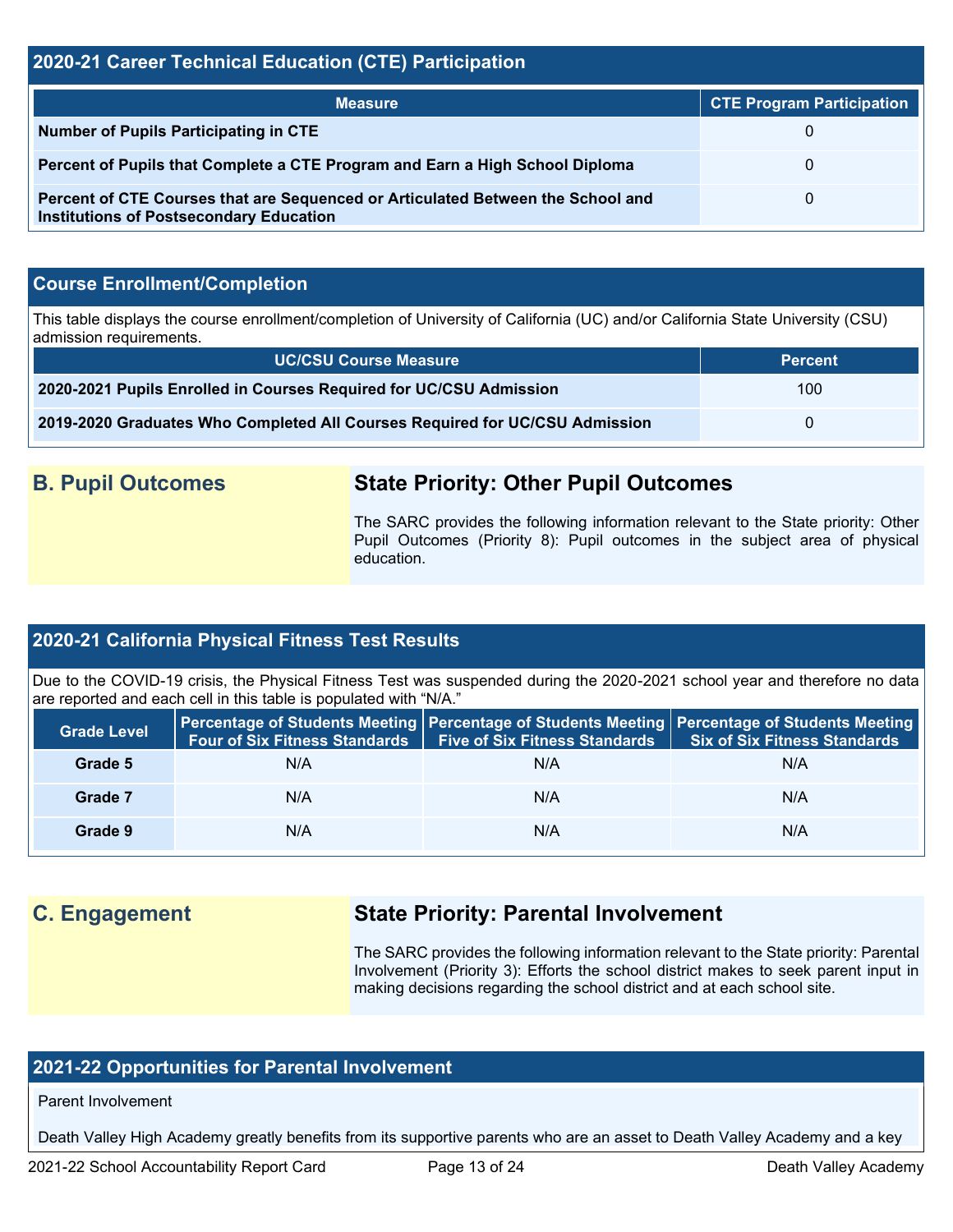#### **2020-21 Career Technical Education (CTE) Participation**

| <b>Measure</b>                                                                                                                    | <b>CTE Program Participation</b> |
|-----------------------------------------------------------------------------------------------------------------------------------|----------------------------------|
| <b>Number of Pupils Participating in CTE</b>                                                                                      |                                  |
| Percent of Pupils that Complete a CTE Program and Earn a High School Diploma                                                      | 0                                |
| Percent of CTE Courses that are Sequenced or Articulated Between the School and<br><b>Institutions of Postsecondary Education</b> | $\Omega$                         |

#### **Course Enrollment/Completion**

This table displays the course enrollment/completion of University of California (UC) and/or California State University (CSU) admission requirements.

| <b>UC/CSU Course Measure</b>                                                | <b>Percent</b> |
|-----------------------------------------------------------------------------|----------------|
| 2020-2021 Pupils Enrolled in Courses Required for UC/CSU Admission          | 100            |
| 2019-2020 Graduates Who Completed All Courses Required for UC/CSU Admission |                |

# **B. Pupil Outcomes State Priority: Other Pupil Outcomes**

The SARC provides the following information relevant to the State priority: Other Pupil Outcomes (Priority 8): Pupil outcomes in the subject area of physical education.

#### **2020-21 California Physical Fitness Test Results**

Due to the COVID-19 crisis, the Physical Fitness Test was suspended during the 2020-2021 school year and therefore no data are reported and each cell in this table is populated with "N/A."

| <b>Grade Level</b> |     | Four of Six Fitness Standards   Five of Six Fitness Standards | Percentage of Students Meeting Percentage of Students Meeting Percentage of Students Meeting<br><b>Six of Six Fitness Standards</b> |
|--------------------|-----|---------------------------------------------------------------|-------------------------------------------------------------------------------------------------------------------------------------|
| Grade 5            | N/A | N/A                                                           | N/A                                                                                                                                 |
| Grade 7            | N/A | N/A                                                           | N/A                                                                                                                                 |
| Grade 9            | N/A | N/A                                                           | N/A                                                                                                                                 |

# **C. Engagement State Priority: Parental Involvement**

The SARC provides the following information relevant to the State priority: Parental Involvement (Priority 3): Efforts the school district makes to seek parent input in making decisions regarding the school district and at each school site.

#### **2021-22 Opportunities for Parental Involvement**

Parent Involvement

Death Valley High Academy greatly benefits from its supportive parents who are an asset to Death Valley Academy and a key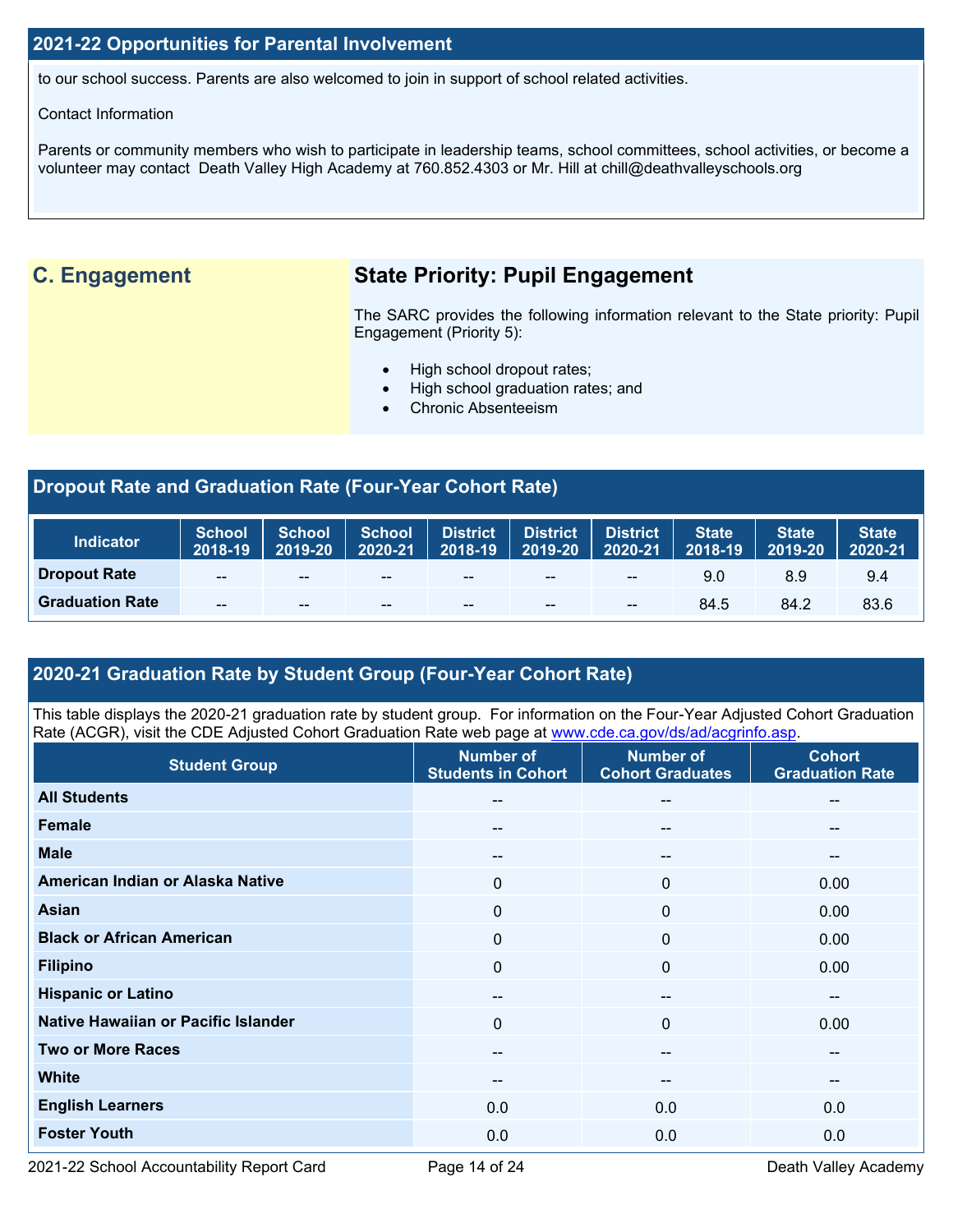#### **2021-22 Opportunities for Parental Involvement**

to our school success. Parents are also welcomed to join in support of school related activities.

#### Contact Information

Parents or community members who wish to participate in leadership teams, school committees, school activities, or become a volunteer may contact Death Valley High Academy at 760.852.4303 or Mr. Hill at chill@deathvalleyschools.org

# **C. Engagement State Priority: Pupil Engagement**

The SARC provides the following information relevant to the State priority: Pupil Engagement (Priority 5):

- High school dropout rates;
- High school graduation rates; and
- Chronic Absenteeism

### **Dropout Rate and Graduation Rate (Four-Year Cohort Rate)**

| <b>Indicator</b>       | <b>School</b><br>2018-19 | <b>School</b><br>$  2019 - 20  $ | School District<br>2020-21 | 2018-19 | <b>District</b><br>2019-20 | <b>District</b><br>2020-21            | State<br>2018-19 | <b>State</b><br>2019-20 | <b>State</b><br>$2020 - 21$ |
|------------------------|--------------------------|----------------------------------|----------------------------|---------|----------------------------|---------------------------------------|------------------|-------------------------|-----------------------------|
| <b>Dropout Rate</b>    | $- -$                    | $- -$                            | --                         | $- -$   | $- -$                      | $\hspace{0.05cm}$ – $\hspace{0.05cm}$ | 9.0              | 8.9                     | 9.4                         |
| <b>Graduation Rate</b> | $- -$                    | $- -$                            | $- -$                      | $- -$   | $- -$                      | $\sim$ $\sim$                         | 84.5             | 84.2                    | 83.6                        |

## **2020-21 Graduation Rate by Student Group (Four-Year Cohort Rate)**

This table displays the 2020-21 graduation rate by student group. For information on the Four-Year Adjusted Cohort Graduation Rate (ACGR), visit the CDE Adjusted Cohort Graduation Rate web page at [www.cde.ca.gov/ds/ad/acgrinfo.asp.](http://www.cde.ca.gov/ds/ad/acgrinfo.asp)

| <b>Student Group</b>                | <b>Number of</b><br><b>Students in Cohort</b> | <b>Number of</b><br><b>Cohort Graduates</b> | <b>Cohort</b><br><b>Graduation Rate</b> |
|-------------------------------------|-----------------------------------------------|---------------------------------------------|-----------------------------------------|
| <b>All Students</b>                 | $- -$                                         | --                                          | $\sim$ $\sim$                           |
| <b>Female</b>                       | $\qquad \qquad -$                             | --                                          | $\hspace{0.05cm}$ – $\hspace{0.05cm}$   |
| <b>Male</b>                         | $- -$                                         | --                                          | --                                      |
| American Indian or Alaska Native    | 0                                             | $\Omega$                                    | 0.00                                    |
| <b>Asian</b>                        | $\mathbf 0$                                   | $\mathbf{0}$                                | 0.00                                    |
| <b>Black or African American</b>    | $\mathbf 0$                                   | 0                                           | 0.00                                    |
| <b>Filipino</b>                     | $\mathbf 0$                                   | 0                                           | 0.00                                    |
| <b>Hispanic or Latino</b>           | $- -$                                         | --                                          | $\overline{\phantom{m}}$                |
| Native Hawaiian or Pacific Islander | $\mathbf{0}$                                  | 0                                           | 0.00                                    |
| <b>Two or More Races</b>            | --                                            | --                                          | --                                      |
| <b>White</b>                        | $- -$                                         | --                                          | $\overline{\phantom{m}}$                |
| <b>English Learners</b>             | 0.0                                           | 0.0                                         | 0.0                                     |
| <b>Foster Youth</b>                 | 0.0                                           | 0.0                                         | 0.0                                     |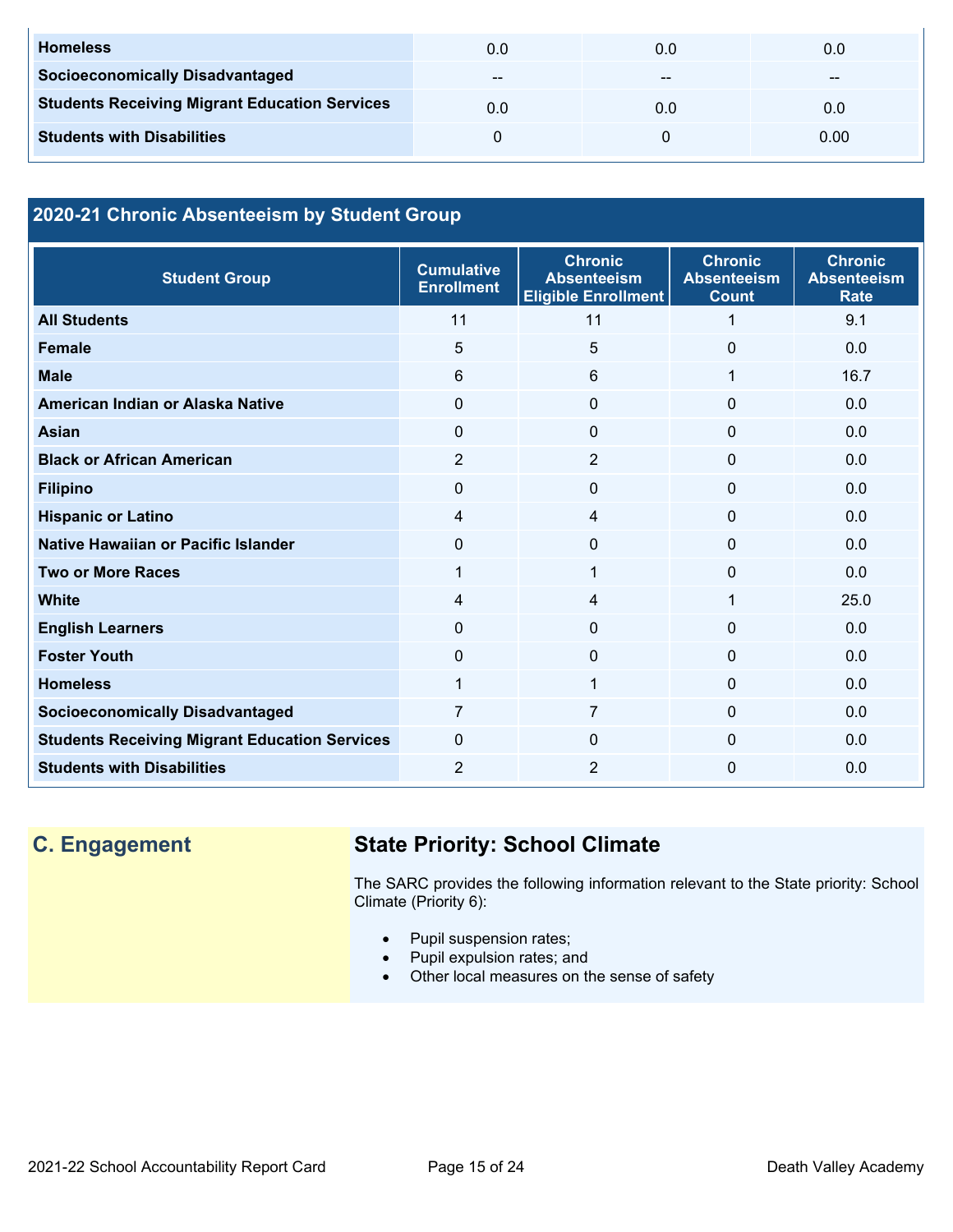| <b>Homeless</b>                                      | 0.0   | 0.0 | 0.0  |
|------------------------------------------------------|-------|-----|------|
| <b>Socioeconomically Disadvantaged</b>               | $- -$ | --  | --   |
| <b>Students Receiving Migrant Education Services</b> | 0.0   | 0.0 | 0.0  |
| <b>Students with Disabilities</b>                    |       |     | 0.00 |

### **2020-21 Chronic Absenteeism by Student Group**

| <b>Student Group</b>                                 | <b>Cumulative</b><br><b>Enrollment</b> | <b>Chronic</b><br><b>Absenteeism</b><br><b>Eligible Enrollment</b> | <b>Chronic</b><br><b>Absenteeism</b><br><b>Count</b> | <b>Chronic</b><br><b>Absenteeism</b><br><b>Rate</b> |
|------------------------------------------------------|----------------------------------------|--------------------------------------------------------------------|------------------------------------------------------|-----------------------------------------------------|
| <b>All Students</b>                                  | 11                                     | 11                                                                 | 1                                                    | 9.1                                                 |
| <b>Female</b>                                        | 5                                      | 5                                                                  | $\Omega$                                             | 0.0                                                 |
| <b>Male</b>                                          | 6                                      | 6                                                                  | 1                                                    | 16.7                                                |
| American Indian or Alaska Native                     | $\Omega$                               | 0                                                                  | $\Omega$                                             | 0.0                                                 |
| <b>Asian</b>                                         | $\Omega$                               | 0                                                                  | $\Omega$                                             | 0.0                                                 |
| <b>Black or African American</b>                     | 2                                      | $\overline{2}$                                                     | $\Omega$                                             | 0.0                                                 |
| <b>Filipino</b>                                      | $\Omega$                               | 0                                                                  | $\Omega$                                             | 0.0                                                 |
| <b>Hispanic or Latino</b>                            | 4                                      | 4                                                                  | $\Omega$                                             | 0.0                                                 |
| Native Hawaiian or Pacific Islander                  | $\Omega$                               | 0                                                                  | 0                                                    | 0.0                                                 |
| <b>Two or More Races</b>                             | 1                                      | 1                                                                  | $\Omega$                                             | 0.0                                                 |
| <b>White</b>                                         | 4                                      | 4                                                                  | $\mathbf{1}$                                         | 25.0                                                |
| <b>English Learners</b>                              | $\Omega$                               | 0                                                                  | $\Omega$                                             | 0.0                                                 |
| <b>Foster Youth</b>                                  | $\Omega$                               | 0                                                                  | $\Omega$                                             | 0.0                                                 |
| <b>Homeless</b>                                      | 1                                      | $\mathbf{1}$                                                       | $\Omega$                                             | 0.0                                                 |
| <b>Socioeconomically Disadvantaged</b>               | 7                                      | 7                                                                  | $\Omega$                                             | 0.0                                                 |
| <b>Students Receiving Migrant Education Services</b> | $\Omega$                               | 0                                                                  | $\Omega$                                             | 0.0                                                 |
| <b>Students with Disabilities</b>                    | 2                                      | $\overline{2}$                                                     | $\Omega$                                             | 0.0                                                 |

# **C. Engagement State Priority: School Climate**

The SARC provides the following information relevant to the State priority: School Climate (Priority 6):

- Pupil suspension rates;
- Pupil expulsion rates; and
- Other local measures on the sense of safety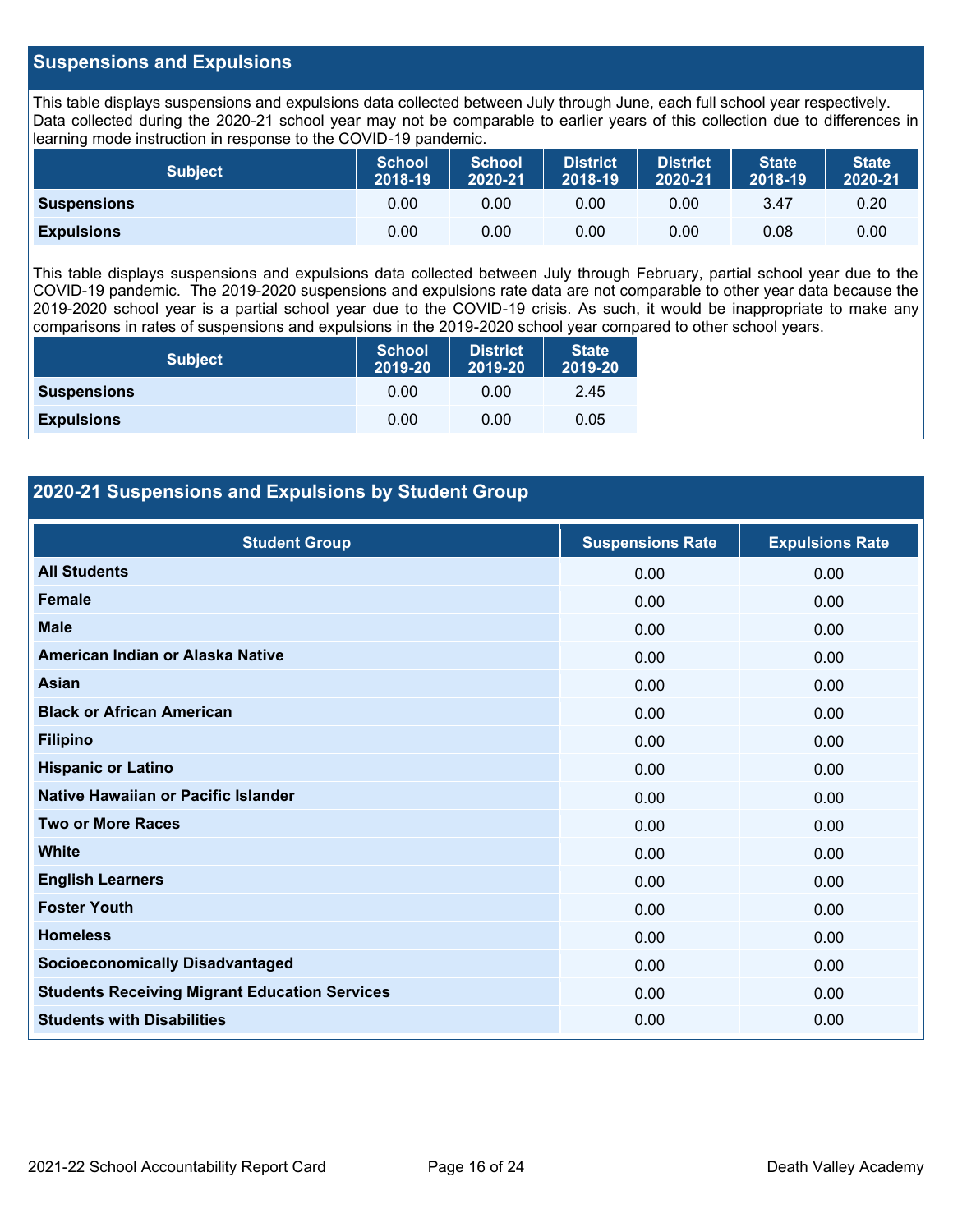#### **Suspensions and Expulsions**

This table displays suspensions and expulsions data collected between July through June, each full school year respectively. Data collected during the 2020-21 school year may not be comparable to earlier years of this collection due to differences in learning mode instruction in response to the COVID-19 pandemic.

| <b>Subject</b>     | <b>School</b><br>2018-19 | <b>School</b><br>2020-21 | <b>District</b><br>2018-19 | <b>District</b><br>2020-21 | <b>State</b><br>2018-19 | <b>State</b><br>2020-21 |
|--------------------|--------------------------|--------------------------|----------------------------|----------------------------|-------------------------|-------------------------|
| <b>Suspensions</b> | 0.00                     | 0.00                     | 0.00                       | 0.00                       | 3.47                    | 0.20                    |
| <b>Expulsions</b>  | 0.00                     | 0.00                     | 0.00                       | 0.00                       | 0.08                    | 0.00                    |

This table displays suspensions and expulsions data collected between July through February, partial school year due to the COVID-19 pandemic. The 2019-2020 suspensions and expulsions rate data are not comparable to other year data because the 2019-2020 school year is a partial school year due to the COVID-19 crisis. As such, it would be inappropriate to make any comparisons in rates of suspensions and expulsions in the 2019-2020 school year compared to other school years.

| <b>Subject</b>     | <b>School</b><br>2019-20 | <b>District</b><br>2019-20 | <b>State</b><br>2019-20 |
|--------------------|--------------------------|----------------------------|-------------------------|
| <b>Suspensions</b> | 0.00                     | 0.00                       | 2.45                    |
| <b>Expulsions</b>  | 0.00                     | 0.00                       | 0.05                    |

#### **2020-21 Suspensions and Expulsions by Student Group**

| <b>Student Group</b>                                 | <b>Suspensions Rate</b> | <b>Expulsions Rate</b> |
|------------------------------------------------------|-------------------------|------------------------|
| <b>All Students</b>                                  | 0.00                    | 0.00                   |
| <b>Female</b>                                        | 0.00                    | 0.00                   |
| <b>Male</b>                                          | 0.00                    | 0.00                   |
| American Indian or Alaska Native                     | 0.00                    | 0.00                   |
| <b>Asian</b>                                         | 0.00                    | 0.00                   |
| <b>Black or African American</b>                     | 0.00                    | 0.00                   |
| <b>Filipino</b>                                      | 0.00                    | 0.00                   |
| <b>Hispanic or Latino</b>                            | 0.00                    | 0.00                   |
| Native Hawaiian or Pacific Islander                  | 0.00                    | 0.00                   |
| <b>Two or More Races</b>                             | 0.00                    | 0.00                   |
| <b>White</b>                                         | 0.00                    | 0.00                   |
| <b>English Learners</b>                              | 0.00                    | 0.00                   |
| <b>Foster Youth</b>                                  | 0.00                    | 0.00                   |
| <b>Homeless</b>                                      | 0.00                    | 0.00                   |
| <b>Socioeconomically Disadvantaged</b>               | 0.00                    | 0.00                   |
| <b>Students Receiving Migrant Education Services</b> | 0.00                    | 0.00                   |
| <b>Students with Disabilities</b>                    | 0.00                    | 0.00                   |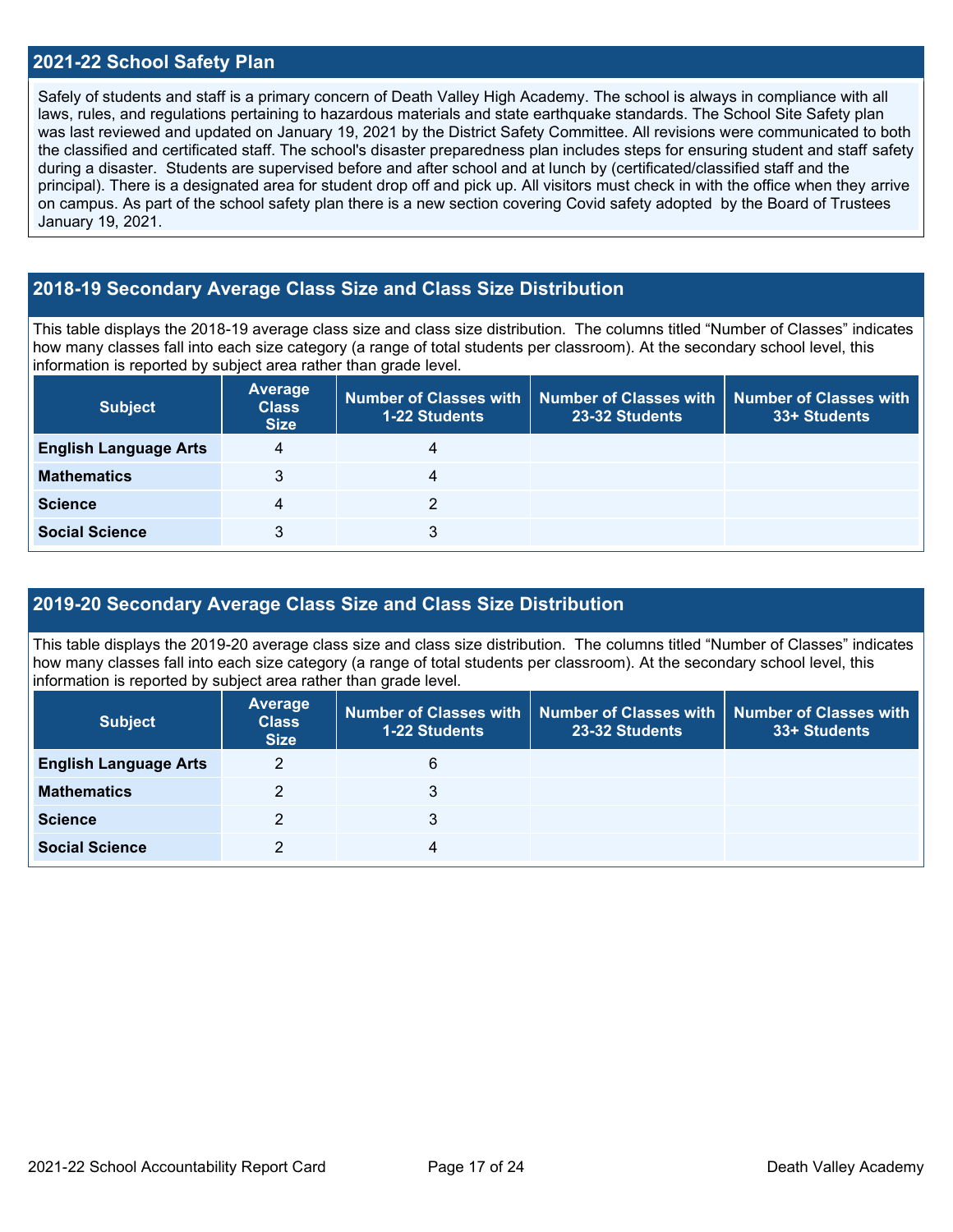#### **2021-22 School Safety Plan**

Safely of students and staff is a primary concern of Death Valley High Academy. The school is always in compliance with all laws, rules, and regulations pertaining to hazardous materials and state earthquake standards. The School Site Safety plan was last reviewed and updated on January 19, 2021 by the District Safety Committee. All revisions were communicated to both the classified and certificated staff. The school's disaster preparedness plan includes steps for ensuring student and staff safety during a disaster. Students are supervised before and after school and at lunch by (certificated/classified staff and the principal). There is a designated area for student drop off and pick up. All visitors must check in with the office when they arrive on campus. As part of the school safety plan there is a new section covering Covid safety adopted by the Board of Trustees January 19, 2021.

#### **2018-19 Secondary Average Class Size and Class Size Distribution**

This table displays the 2018-19 average class size and class size distribution. The columns titled "Number of Classes" indicates how many classes fall into each size category (a range of total students per classroom). At the secondary school level, this information is reported by subject area rather than grade level.

| <b>Subject</b>               | <b>Average</b><br><b>Class</b><br><b>Size</b> | 1-22 Students  | Number of Classes with   Number of Classes with<br>23-32 Students | <b>Number of Classes with</b><br>33+ Students |
|------------------------------|-----------------------------------------------|----------------|-------------------------------------------------------------------|-----------------------------------------------|
| <b>English Language Arts</b> | 4                                             |                |                                                                   |                                               |
| <b>Mathematics</b>           | 3                                             | $\overline{4}$ |                                                                   |                                               |
| <b>Science</b>               | 4                                             | っ              |                                                                   |                                               |
| <b>Social Science</b>        | 3                                             | 3              |                                                                   |                                               |

#### **2019-20 Secondary Average Class Size and Class Size Distribution**

This table displays the 2019-20 average class size and class size distribution. The columns titled "Number of Classes" indicates how many classes fall into each size category (a range of total students per classroom). At the secondary school level, this information is reported by subject area rather than grade level.

| <b>Subject</b>               | <b>Average</b><br><b>Class</b><br><b>Size</b> | 1-22 Students | Number of Classes with   Number of Classes with  <br>23-32 Students | Number of Classes with<br>33+ Students |
|------------------------------|-----------------------------------------------|---------------|---------------------------------------------------------------------|----------------------------------------|
| <b>English Language Arts</b> | 2                                             | 6             |                                                                     |                                        |
| <b>Mathematics</b>           |                                               | 3             |                                                                     |                                        |
| <b>Science</b>               | 2                                             | 3             |                                                                     |                                        |
| <b>Social Science</b>        | 2                                             | 4             |                                                                     |                                        |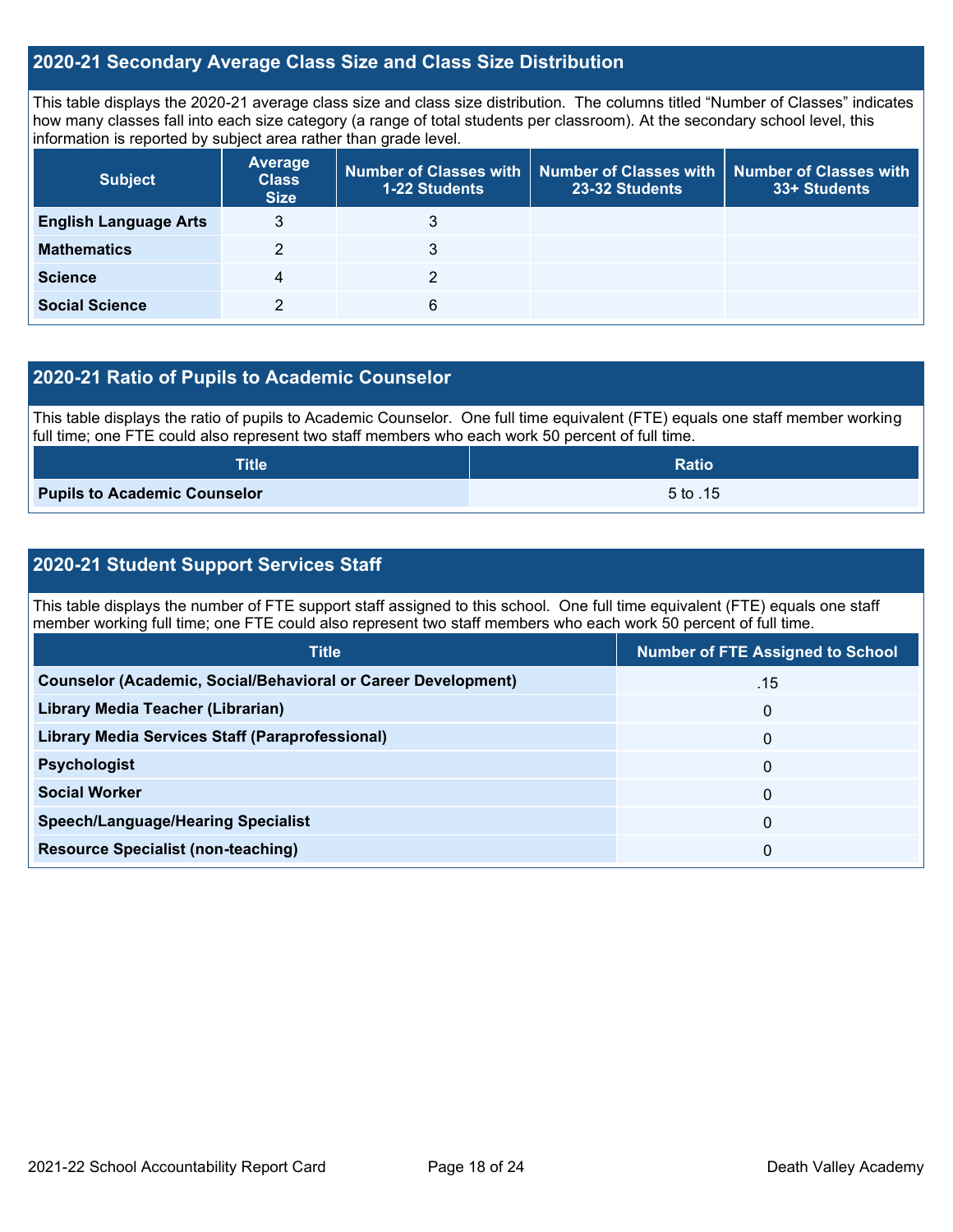#### **2020-21 Secondary Average Class Size and Class Size Distribution**

This table displays the 2020-21 average class size and class size distribution. The columns titled "Number of Classes" indicates how many classes fall into each size category (a range of total students per classroom). At the secondary school level, this information is reported by subject area rather than grade level.

| <b>Subject</b>               | <b>Average</b><br><b>Class</b><br><b>Size</b> | <b>1-22 Students</b> | Number of Classes with   Number of Classes with  <br>23-32 Students | Number of Classes with<br>33+ Students |
|------------------------------|-----------------------------------------------|----------------------|---------------------------------------------------------------------|----------------------------------------|
| <b>English Language Arts</b> | 3                                             | 3                    |                                                                     |                                        |
| <b>Mathematics</b>           | 2                                             | 3                    |                                                                     |                                        |
| <b>Science</b>               | 4                                             |                      |                                                                     |                                        |
| <b>Social Science</b>        |                                               | 6                    |                                                                     |                                        |

#### **2020-21 Ratio of Pupils to Academic Counselor**

This table displays the ratio of pupils to Academic Counselor. One full time equivalent (FTE) equals one staff member working full time; one FTE could also represent two staff members who each work 50 percent of full time.

| <b>Title</b>                        | <b>Ratio</b> |
|-------------------------------------|--------------|
| <b>Pupils to Academic Counselor</b> | 5 to .15     |

### **2020-21 Student Support Services Staff**

This table displays the number of FTE support staff assigned to this school. One full time equivalent (FTE) equals one staff member working full time; one FTE could also represent two staff members who each work 50 percent of full time.

| <b>Title</b>                                                         | <b>Number of FTE Assigned to School</b> |
|----------------------------------------------------------------------|-----------------------------------------|
| <b>Counselor (Academic, Social/Behavioral or Career Development)</b> | .15                                     |
| Library Media Teacher (Librarian)                                    | $\mathbf{0}$                            |
| <b>Library Media Services Staff (Paraprofessional)</b>               | $\mathbf{0}$                            |
| <b>Psychologist</b>                                                  | $\mathbf{0}$                            |
| <b>Social Worker</b>                                                 | 0                                       |
| <b>Speech/Language/Hearing Specialist</b>                            | $\mathbf{0}$                            |
| <b>Resource Specialist (non-teaching)</b>                            | 0                                       |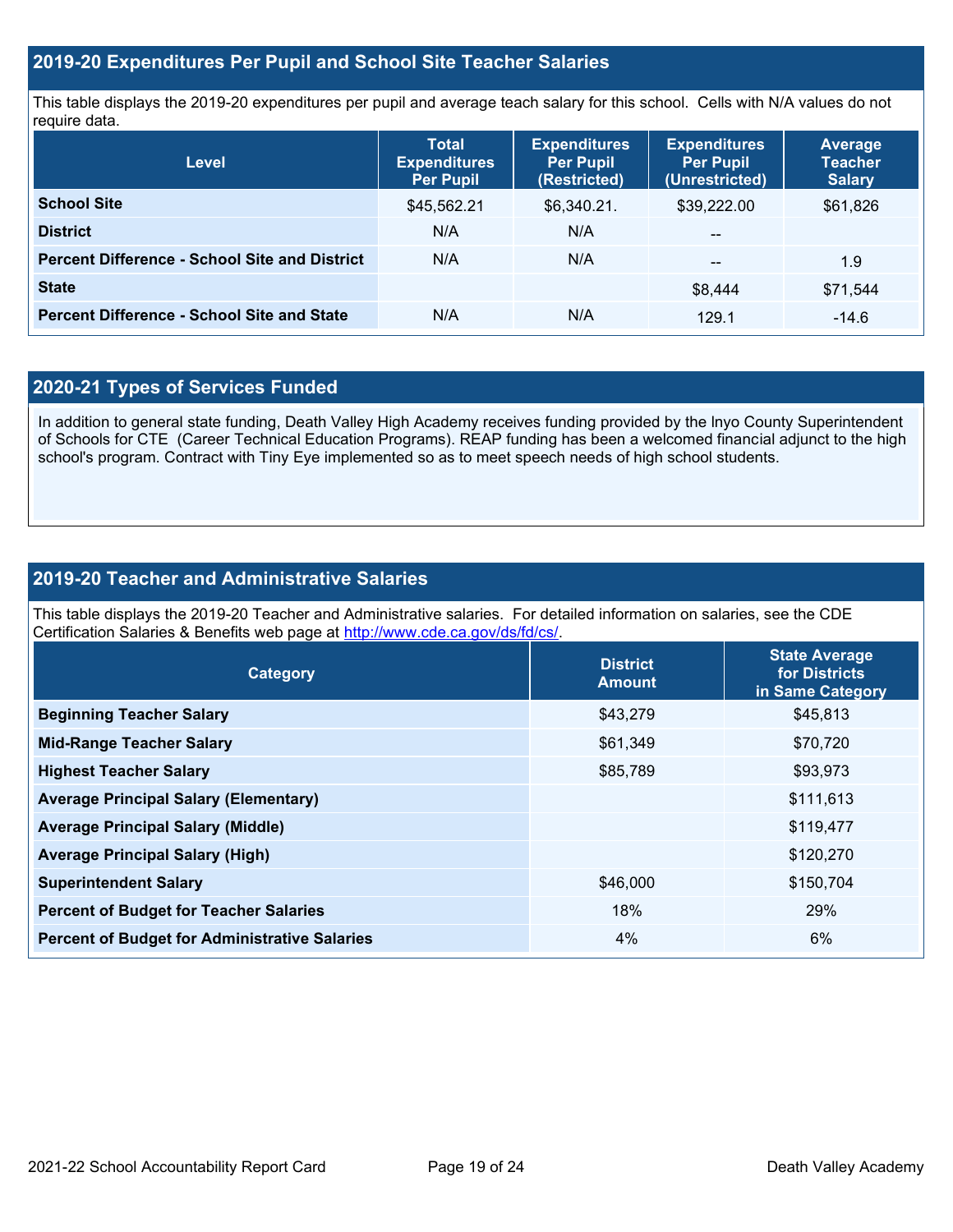#### **2019-20 Expenditures Per Pupil and School Site Teacher Salaries**

This table displays the 2019-20 expenditures per pupil and average teach salary for this school. Cells with N/A values do not require data.

| <b>Level</b>                                         | <b>Total</b><br><b>Expenditures</b><br><b>Per Pupil</b> | <b>Expenditures</b><br><b>Per Pupil</b><br>(Restricted) | <b>Expenditures</b><br><b>Per Pupil</b><br>(Unrestricted) | <b>Average</b><br><b>Teacher</b><br><b>Salary</b> |
|------------------------------------------------------|---------------------------------------------------------|---------------------------------------------------------|-----------------------------------------------------------|---------------------------------------------------|
| <b>School Site</b>                                   | \$45,562.21                                             | \$6,340.21.                                             | \$39,222.00                                               | \$61,826                                          |
| <b>District</b>                                      | N/A                                                     | N/A                                                     | $\overline{\phantom{m}}$                                  |                                                   |
| <b>Percent Difference - School Site and District</b> | N/A                                                     | N/A                                                     | $- -$                                                     | 1.9                                               |
| <b>State</b>                                         |                                                         |                                                         | \$8.444                                                   | \$71.544                                          |
| <b>Percent Difference - School Site and State</b>    | N/A                                                     | N/A                                                     | 129.1                                                     | $-14.6$                                           |

### **2020-21 Types of Services Funded**

In addition to general state funding, Death Valley High Academy receives funding provided by the lnyo County Superintendent of Schools for CTE (Career Technical Education Programs). REAP funding has been a welcomed financial adjunct to the high school's program. Contract with Tiny Eye implemented so as to meet speech needs of high school students.

#### **2019-20 Teacher and Administrative Salaries**

This table displays the 2019-20 Teacher and Administrative salaries. For detailed information on salaries, see the CDE Certification Salaries & Benefits web page at [http://www.cde.ca.gov/ds/fd/cs/.](http://www.cde.ca.gov/ds/fd/cs/)

| Category                                             | <b>District</b><br><b>Amount</b> | <b>State Average</b><br>for Districts<br>in Same Category |
|------------------------------------------------------|----------------------------------|-----------------------------------------------------------|
| <b>Beginning Teacher Salary</b>                      | \$43,279                         | \$45,813                                                  |
| <b>Mid-Range Teacher Salary</b>                      | \$61,349                         | \$70,720                                                  |
| <b>Highest Teacher Salary</b>                        | \$85,789                         | \$93,973                                                  |
| <b>Average Principal Salary (Elementary)</b>         |                                  | \$111,613                                                 |
| <b>Average Principal Salary (Middle)</b>             |                                  | \$119,477                                                 |
| <b>Average Principal Salary (High)</b>               |                                  | \$120,270                                                 |
| <b>Superintendent Salary</b>                         | \$46,000                         | \$150,704                                                 |
| <b>Percent of Budget for Teacher Salaries</b>        | 18%                              | 29%                                                       |
| <b>Percent of Budget for Administrative Salaries</b> | $4\%$                            | 6%                                                        |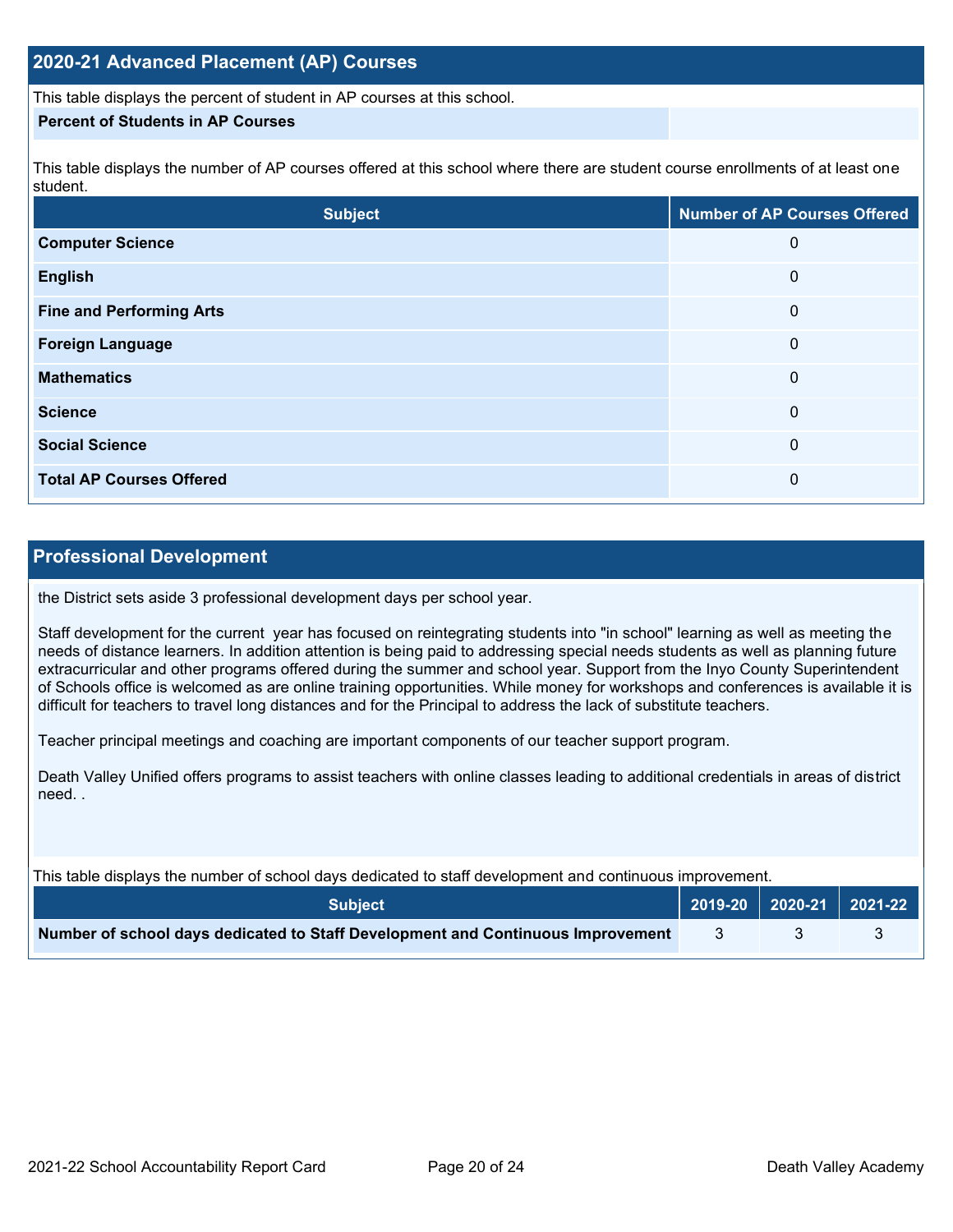#### **2020-21 Advanced Placement (AP) Courses**

This table displays the percent of student in AP courses at this school.

#### **Percent of Students in AP Courses**

This table displays the number of AP courses offered at this school where there are student course enrollments of at least one student.

| <b>Subject</b>                  | <b>Number of AP Courses Offered</b> |
|---------------------------------|-------------------------------------|
| <b>Computer Science</b>         | 0                                   |
| <b>English</b>                  | 0                                   |
| <b>Fine and Performing Arts</b> | 0                                   |
| <b>Foreign Language</b>         | 0                                   |
| <b>Mathematics</b>              | 0                                   |
| <b>Science</b>                  | 0                                   |
| <b>Social Science</b>           | 0                                   |
| <b>Total AP Courses Offered</b> | 0                                   |

#### **Professional Development**

the District sets aside 3 professional development days per school year.

Staff development for the current year has focused on reintegrating students into "in school" learning as well as meeting the needs of distance learners. In addition attention is being paid to addressing special needs students as well as planning future extracurricular and other programs offered during the summer and school year. Support from the Inyo County Superintendent of Schools office is welcomed as are online training opportunities. While money for workshops and conferences is available it is difficult for teachers to travel long distances and for the Principal to address the lack of substitute teachers.

Teacher principal meetings and coaching are important components of our teacher support program.

Death Valley Unified offers programs to assist teachers with online classes leading to additional credentials in areas of district need. .

| This table displays the number of school days dedicated to staff development and continuous improvement. |  |                             |  |  |
|----------------------------------------------------------------------------------------------------------|--|-----------------------------|--|--|
| <b>Subiect</b>                                                                                           |  | 2019-20   2020-21   2021-22 |  |  |
| Number of school days dedicated to Staff Development and Continuous Improvement                          |  |                             |  |  |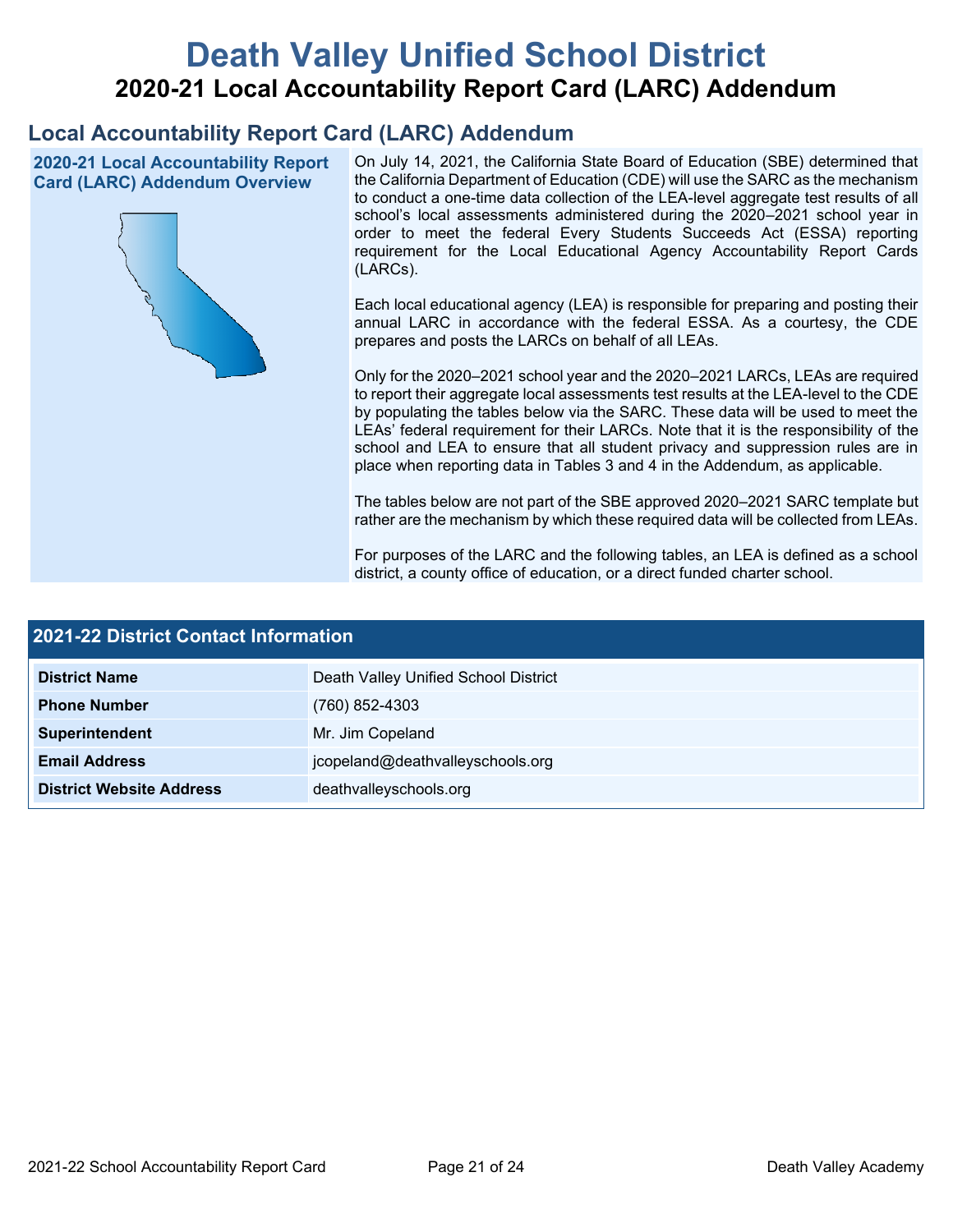# **Death Valley Unified School District 2020-21 Local Accountability Report Card (LARC) Addendum**

# **Local Accountability Report Card (LARC) Addendum**

**2020-21 Local Accountability Report Card (LARC) Addendum Overview**



On July 14, 2021, the California State Board of Education (SBE) determined that the California Department of Education (CDE) will use the SARC as the mechanism to conduct a one-time data collection of the LEA-level aggregate test results of all school's local assessments administered during the 2020–2021 school year in order to meet the federal Every Students Succeeds Act (ESSA) reporting requirement for the Local Educational Agency Accountability Report Cards (LARCs).

Each local educational agency (LEA) is responsible for preparing and posting their annual LARC in accordance with the federal ESSA. As a courtesy, the CDE prepares and posts the LARCs on behalf of all LEAs.

Only for the 2020–2021 school year and the 2020–2021 LARCs, LEAs are required to report their aggregate local assessments test results at the LEA-level to the CDE by populating the tables below via the SARC. These data will be used to meet the LEAs' federal requirement for their LARCs. Note that it is the responsibility of the school and LEA to ensure that all student privacy and suppression rules are in place when reporting data in Tables 3 and 4 in the Addendum, as applicable.

The tables below are not part of the SBE approved 2020–2021 SARC template but rather are the mechanism by which these required data will be collected from LEAs.

For purposes of the LARC and the following tables, an LEA is defined as a school district, a county office of education, or a direct funded charter school.

| <b>2021-22 District Contact Information</b> |                                      |  |  |  |
|---------------------------------------------|--------------------------------------|--|--|--|
| <b>District Name</b>                        | Death Valley Unified School District |  |  |  |
| <b>Phone Number</b>                         | (760) 852-4303                       |  |  |  |
| Superintendent                              | Mr. Jim Copeland                     |  |  |  |
| <b>Email Address</b>                        | jcopeland@deathvalleyschools.org     |  |  |  |
| <b>District Website Address</b>             | deathvalleyschools.org               |  |  |  |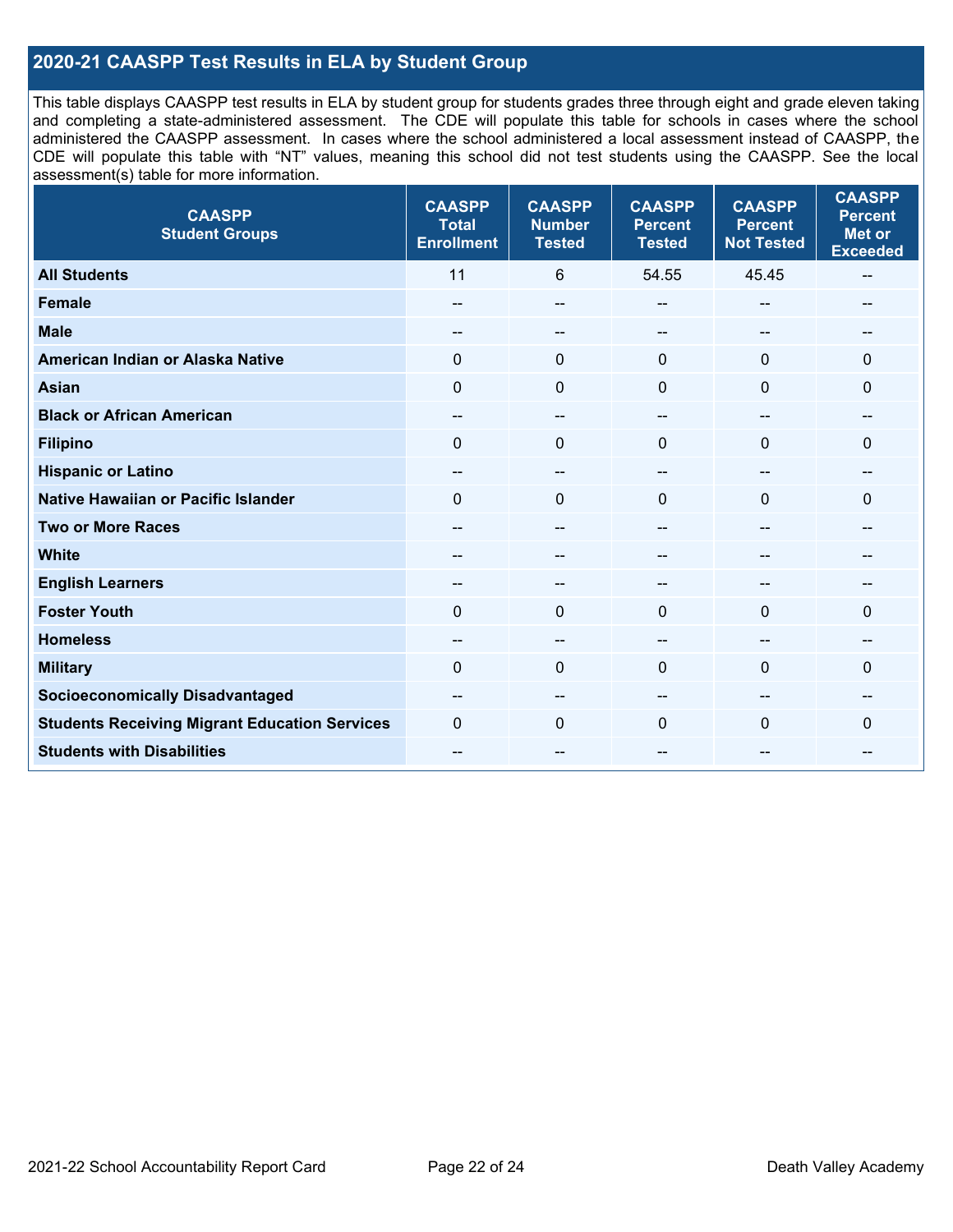### **2020-21 CAASPP Test Results in ELA by Student Group**

This table displays CAASPP test results in ELA by student group for students grades three through eight and grade eleven taking and completing a state-administered assessment. The CDE will populate this table for schools in cases where the school administered the CAASPP assessment. In cases where the school administered a local assessment instead of CAASPP, the CDE will populate this table with "NT" values, meaning this school did not test students using the CAASPP. See the local assessment(s) table for more information.

| <b>CAASPP</b><br><b>Student Groups</b>               | <b>CAASPP</b><br><b>Total</b><br><b>Enrollment</b> | <b>CAASPP</b><br><b>Number</b><br><b>Tested</b> | <b>CAASPP</b><br><b>Percent</b><br><b>Tested</b> | <b>CAASPP</b><br><b>Percent</b><br><b>Not Tested</b> | <b>CAASPP</b><br><b>Percent</b><br><b>Met or</b><br><b>Exceeded</b> |
|------------------------------------------------------|----------------------------------------------------|-------------------------------------------------|--------------------------------------------------|------------------------------------------------------|---------------------------------------------------------------------|
| <b>All Students</b>                                  | 11                                                 | 6                                               | 54.55                                            | 45.45                                                | --                                                                  |
| <b>Female</b>                                        | --                                                 | $\sim$                                          | --                                               | --                                                   | --                                                                  |
| <b>Male</b>                                          | --                                                 | $\overline{\phantom{m}}$                        | --                                               | $\sim$                                               | --                                                                  |
| American Indian or Alaska Native                     | $\Omega$                                           | $\pmb{0}$                                       | $\mathbf{0}$                                     | $\mathbf 0$                                          | $\Omega$                                                            |
| <b>Asian</b>                                         | $\mathbf{0}$                                       | $\mathbf 0$                                     | $\mathbf{0}$                                     | $\Omega$                                             | 0                                                                   |
| <b>Black or African American</b>                     | $\qquad \qquad -$                                  | $\overline{\phantom{m}}$                        | --                                               | $\sim$                                               | --                                                                  |
| <b>Filipino</b>                                      | $\Omega$                                           | $\mathbf 0$                                     | $\mathbf{0}$                                     | $\Omega$                                             | $\Omega$                                                            |
| <b>Hispanic or Latino</b>                            | --                                                 | $\overline{\phantom{m}}$                        | $\overline{\phantom{a}}$                         | $\sim$                                               | --                                                                  |
| Native Hawaiian or Pacific Islander                  | $\Omega$                                           | $\pmb{0}$                                       | $\mathbf 0$                                      | $\overline{0}$                                       | 0                                                                   |
| <b>Two or More Races</b>                             | --                                                 | $\sim$                                          | --                                               | --                                                   | --                                                                  |
| <b>White</b>                                         |                                                    | --                                              | --                                               | --                                                   |                                                                     |
| <b>English Learners</b>                              | --                                                 | --                                              |                                                  |                                                      |                                                                     |
| <b>Foster Youth</b>                                  | $\Omega$                                           | $\mathbf 0$                                     | $\mathbf{0}$                                     | $\Omega$                                             | 0                                                                   |
| <b>Homeless</b>                                      | --                                                 | --                                              | --                                               |                                                      |                                                                     |
| <b>Military</b>                                      | $\Omega$                                           | $\mathbf 0$                                     | $\Omega$                                         | $\Omega$                                             | 0                                                                   |
| <b>Socioeconomically Disadvantaged</b>               | --                                                 | --                                              |                                                  | --                                                   |                                                                     |
| <b>Students Receiving Migrant Education Services</b> | $\Omega$                                           | $\mathbf 0$                                     | $\Omega$                                         | $\mathbf{0}$                                         | 0                                                                   |
| <b>Students with Disabilities</b>                    | $- -$                                              | $\overline{\phantom{m}}$                        | --                                               | --                                                   | --                                                                  |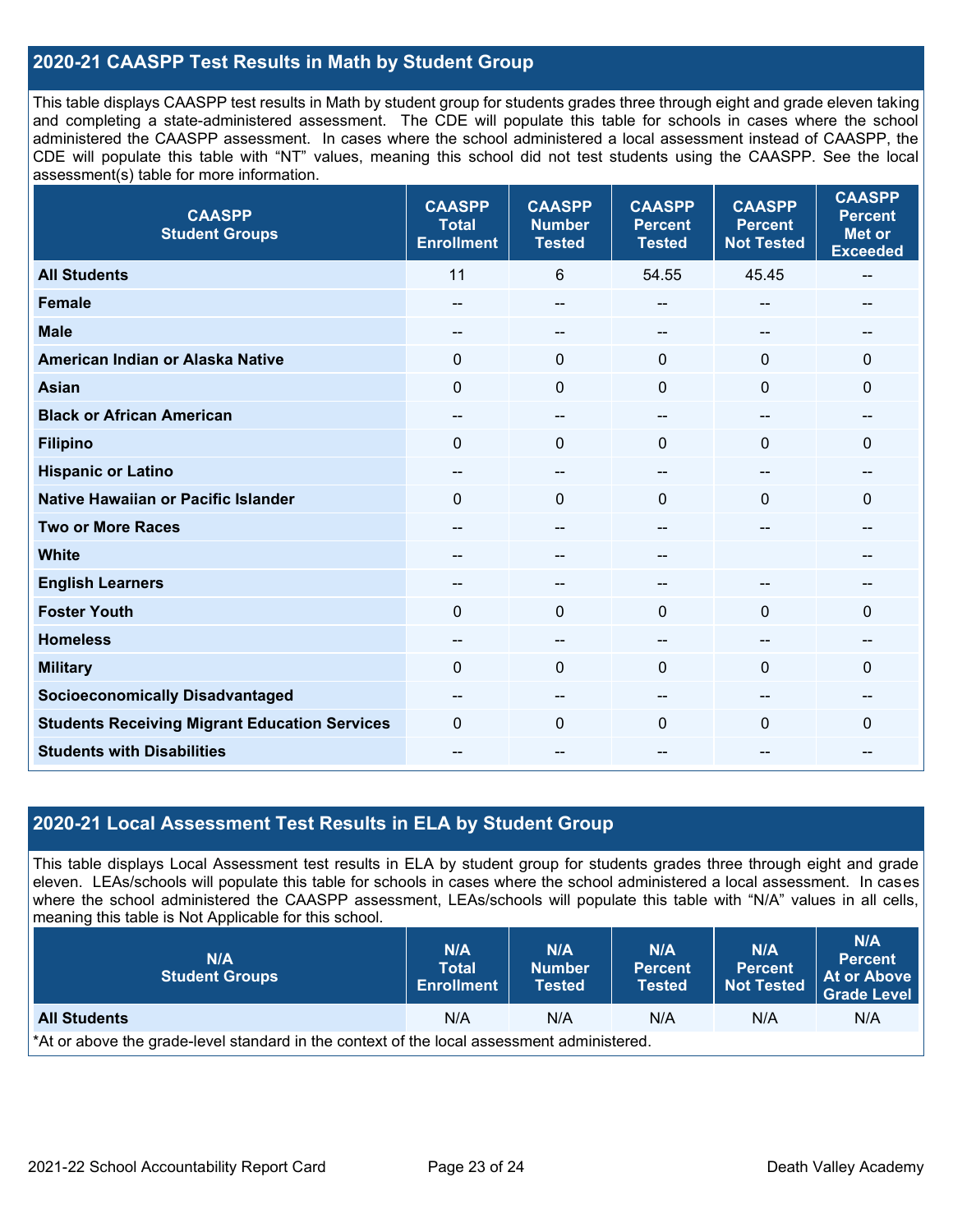#### **2020-21 CAASPP Test Results in Math by Student Group**

This table displays CAASPP test results in Math by student group for students grades three through eight and grade eleven taking and completing a state-administered assessment. The CDE will populate this table for schools in cases where the school administered the CAASPP assessment. In cases where the school administered a local assessment instead of CAASPP, the CDE will populate this table with "NT" values, meaning this school did not test students using the CAASPP. See the local assessment(s) table for more information.

| <b>CAASPP</b><br><b>Student Groups</b>               | <b>CAASPP</b><br><b>Total</b><br><b>Enrollment</b> | <b>CAASPP</b><br><b>Number</b><br><b>Tested</b> | <b>CAASPP</b><br><b>Percent</b><br><b>Tested</b> | <b>CAASPP</b><br><b>Percent</b><br><b>Not Tested</b> | <b>CAASPP</b><br><b>Percent</b><br><b>Met or</b><br><b>Exceeded</b> |
|------------------------------------------------------|----------------------------------------------------|-------------------------------------------------|--------------------------------------------------|------------------------------------------------------|---------------------------------------------------------------------|
| <b>All Students</b>                                  | 11                                                 | 6                                               | 54.55                                            | 45.45                                                | $\hspace{0.05cm}$                                                   |
| <b>Female</b>                                        | --                                                 | --                                              | --                                               | --                                                   |                                                                     |
| <b>Male</b>                                          | $\overline{a}$                                     | --                                              | --                                               | $\overline{a}$                                       | --                                                                  |
| American Indian or Alaska Native                     | $\Omega$                                           | $\mathbf 0$                                     | $\mathbf 0$                                      | $\Omega$                                             | $\mathbf 0$                                                         |
| <b>Asian</b>                                         | $\mathbf 0$                                        | 0                                               | $\mathbf 0$                                      | 0                                                    | 0                                                                   |
| <b>Black or African American</b>                     | --                                                 | $\hspace{0.05cm}$ – $\hspace{0.05cm}$           | --                                               | $\overline{a}$                                       | --                                                                  |
| <b>Filipino</b>                                      | $\Omega$                                           | 0                                               | $\mathbf 0$                                      | 0                                                    | 0                                                                   |
| <b>Hispanic or Latino</b>                            | $\overline{\phantom{a}}$                           | $-$                                             | $\overline{\phantom{a}}$                         | --                                                   | $\hspace{0.05cm}$ – $\hspace{0.05cm}$                               |
| <b>Native Hawaiian or Pacific Islander</b>           | $\Omega$                                           | $\mathbf 0$                                     | $\mathbf 0$                                      | $\Omega$                                             | 0                                                                   |
| <b>Two or More Races</b>                             | $\overline{a}$                                     | --                                              |                                                  |                                                      | --                                                                  |
| <b>White</b>                                         | $- -$                                              | --                                              | $\overline{\phantom{m}}$                         |                                                      | --                                                                  |
| <b>English Learners</b>                              |                                                    | --                                              |                                                  |                                                      |                                                                     |
| <b>Foster Youth</b>                                  | $\Omega$                                           | 0                                               | $\mathbf 0$                                      | $\Omega$                                             | $\Omega$                                                            |
| <b>Homeless</b>                                      | --                                                 | --                                              | --                                               | --                                                   |                                                                     |
| <b>Military</b>                                      | 0                                                  | 0                                               | $\mathbf{0}$                                     | 0                                                    | 0                                                                   |
| <b>Socioeconomically Disadvantaged</b>               | $- -$                                              | --                                              | --                                               | --                                                   | $- -$                                                               |
| <b>Students Receiving Migrant Education Services</b> | $\Omega$                                           | 0                                               | $\Omega$                                         | $\Omega$                                             | 0                                                                   |
| <b>Students with Disabilities</b>                    | $- -$                                              | --                                              | --                                               | --                                                   | --                                                                  |

#### **2020-21 Local Assessment Test Results in ELA by Student Group**

This table displays Local Assessment test results in ELA by student group for students grades three through eight and grade eleven. LEAs/schools will populate this table for schools in cases where the school administered a local assessment. In cases where the school administered the CAASPP assessment, LEAs/schools will populate this table with "N/A" values in all cells, meaning this table is Not Applicable for this school.

| N/A<br><b>Student Groups</b>                                                               | <b>N/A</b><br><b>Total</b><br><b>Enrollment</b> | N/A<br><b>Number</b><br><b>Tested</b> | N/A<br><b>Percent</b><br><b>Tested</b> | N/A<br><b>Percent</b><br><b>Not Tested</b> | N/A<br><b>Percent</b><br>At or Above<br>Grade Level |
|--------------------------------------------------------------------------------------------|-------------------------------------------------|---------------------------------------|----------------------------------------|--------------------------------------------|-----------------------------------------------------|
| <b>All Students</b>                                                                        | N/A                                             | N/A                                   | N/A                                    | N/A                                        | N/A                                                 |
| *At or above the grade-level standard in the context of the local assessment administered. |                                                 |                                       |                                        |                                            |                                                     |